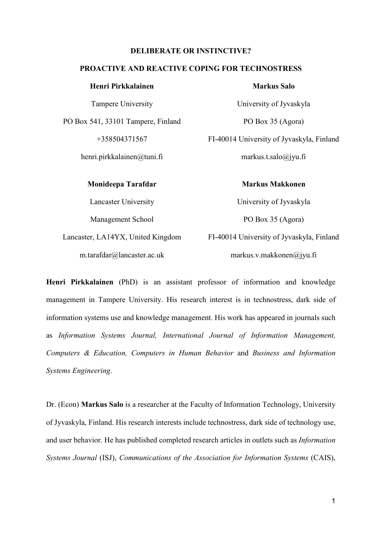### **DELIBERATE OR INSTINCTIVE?**

## **PROACTIVE AND REACTIVE COPING FOR TECHNOSTRESS**

| Henri Pirkkalainen                 |          |
|------------------------------------|----------|
| Tampere University                 |          |
| PO Box 541, 33101 Tampere, Finland |          |
| +358504371567                      | $FI-400$ |
| henri.pirkkalainen $@$ tuni.fi     |          |
| Monideepa Tarafdar                 |          |

Lancaster University Management School

Lancaster, LA14YX, United Kingdom m.tarafdar@lancaster.ac.uk

#### **Markus Salo**

University of Jyvaskyla PO Box 35 (Agora) 14 University of Jyvaskyla, Finland markus.t.salo@jyu.fi

**Markus Makkonen**

University of Jyvaskyla PO Box 35 (Agora) FI-40014 University of Jyvaskyla, Finland markus.v.makkonen@jyu.fi

**Henri Pirkkalainen** (PhD) is an assistant professor of information and knowledge management in Tampere University. His research interest is in technostress, dark side of information systems use and knowledge management. His work has appeared in journals such as *Information Systems Journal, International Journal of Information Management, Computers & Education, Computers in Human Behavior* and *Business and Information Systems Engineering*.

Dr. (Econ) **Markus Salo** is a researcher at the Faculty of Information Technology, University of Jyvaskyla, Finland. His research interests include technostress, dark side of technology use, and user behavior. He has published completed research articles in outlets such as *Information Systems Journal* (ISJ), *Communications of the Association for Information Systems* (CAIS),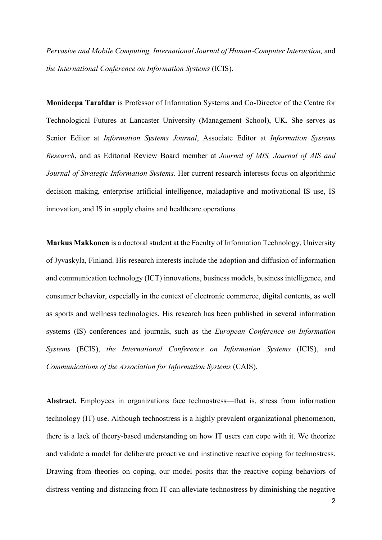*Pervasive and Mobile Computing, International Journal of Human*‐*Computer Interaction,* and *the International Conference on Information Systems* (ICIS).

**Monideepa Tarafdar** is Professor of Information Systems and Co-Director of the Centre for Technological Futures at Lancaster University (Management School), UK. She serves as Senior Editor at *Information Systems Journal*, Associate Editor at *Information Systems Research*, and as Editorial Review Board member at *Journal of MIS, Journal of AIS and Journal of Strategic Information Systems*. Her current research interests focus on algorithmic decision making, enterprise artificial intelligence, maladaptive and motivational IS use, IS innovation, and IS in supply chains and healthcare operations

**Markus Makkonen** is a doctoral student at the Faculty of Information Technology, University of Jyvaskyla, Finland. His research interests include the adoption and diffusion of information and communication technology (ICT) innovations, business models, business intelligence, and consumer behavior, especially in the context of electronic commerce, digital contents, as well as sports and wellness technologies. His research has been published in several information systems (IS) conferences and journals, such as the *European Conference on Information Systems* (ECIS), *the International Conference on Information Systems* (ICIS), and *Communications of the Association for Information Systems* (CAIS).

**Abstract.** Employees in organizations face technostress—that is, stress from information technology (IT) use. Although technostress is a highly prevalent organizational phenomenon, there is a lack of theory-based understanding on how IT users can cope with it. We theorize and validate a model for deliberate proactive and instinctive reactive coping for technostress. Drawing from theories on coping, our model posits that the reactive coping behaviors of distress venting and distancing from IT can alleviate technostress by diminishing the negative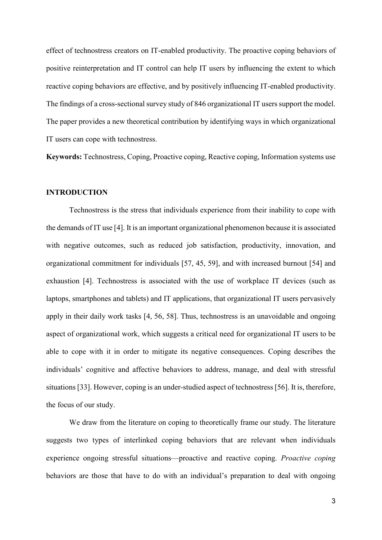effect of technostress creators on IT-enabled productivity. The proactive coping behaviors of positive reinterpretation and IT control can help IT users by influencing the extent to which reactive coping behaviors are effective, and by positively influencing IT-enabled productivity. The findings of a cross-sectional survey study of 846 organizational IT users support the model. The paper provides a new theoretical contribution by identifying ways in which organizational IT users can cope with technostress.

**Keywords:** Technostress, Coping, Proactive coping, Reactive coping, Information systems use

## **INTRODUCTION**

Technostress is the stress that individuals experience from their inability to cope with the demands of IT use [\[4\]](#page-34-0). It is an important organizational phenomenon because it is associated with negative outcomes, such as reduced job satisfaction, productivity, innovation, and organizational commitment for individuals [\[57,](#page-37-0) [45,](#page-36-0) [59\]](#page-37-1), and with increased burnout [\[54\]](#page-37-2) and exhaustion [\[4\]](#page-34-0). Technostress is associated with the use of workplace IT devices (such as laptops, smartphones and tablets) and IT applications, that organizational IT users pervasively apply in their daily work tasks [\[4,](#page-34-0) [56,](#page-37-3) [58\]](#page-37-4). Thus, technostress is an unavoidable and ongoing aspect of organizational work, which suggests a critical need for organizational IT users to be able to cope with it in order to mitigate its negative consequences. Coping describes the individuals' cognitive and affective behaviors to address, manage, and deal with stressful situations [\[33\]](#page-36-1). However, coping is an under-studied aspect of technostress [\[56\]](#page-37-3). It is, therefore, the focus of our study.

We draw from the literature on coping to theoretically frame our study. The literature suggests two types of interlinked coping behaviors that are relevant when individuals experience ongoing stressful situations—proactive and reactive coping. *Proactive coping* behaviors are those that have to do with an individual's preparation to deal with ongoing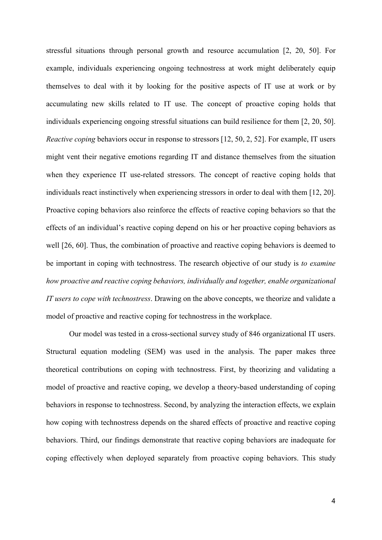stressful situations through personal growth and resource accumulation [\[2,](#page-34-1) [20,](#page-35-0) [50\]](#page-37-5). For example, individuals experiencing ongoing technostress at work might deliberately equip themselves to deal with it by looking for the positive aspects of IT use at work or by accumulating new skills related to IT use. The concept of proactive coping holds that individuals experiencing ongoing stressful situations can build resilience for them [\[2,](#page-34-1) [20,](#page-35-0) [50\]](#page-37-5). *Reactive coping* behaviors occur in response to stressors [\[12,](#page-35-1) [50,](#page-37-5) [2,](#page-34-1) [52\]](#page-37-6). For example, IT users might vent their negative emotions regarding IT and distance themselves from the situation when they experience IT use-related stressors. The concept of reactive coping holds that individuals react instinctively when experiencing stressors in order to deal with them [\[12,](#page-35-1) [20\]](#page-35-0). Proactive coping behaviors also reinforce the effects of reactive coping behaviors so that the effects of an individual's reactive coping depend on his or her proactive coping behaviors as well [\[26,](#page-36-2) [60\]](#page-37-7). Thus, the combination of proactive and reactive coping behaviors is deemed to be important in coping with technostress. The research objective of our study is *to examine how proactive and reactive coping behaviors, individually and together, enable organizational IT users to cope with technostress*. Drawing on the above concepts, we theorize and validate a model of proactive and reactive coping for technostress in the workplace.

Our model was tested in a cross-sectional survey study of 846 organizational IT users. Structural equation modeling (SEM) was used in the analysis. The paper makes three theoretical contributions on coping with technostress. First, by theorizing and validating a model of proactive and reactive coping, we develop a theory-based understanding of coping behaviors in response to technostress. Second, by analyzing the interaction effects, we explain how coping with technostress depends on the shared effects of proactive and reactive coping behaviors. Third, our findings demonstrate that reactive coping behaviors are inadequate for coping effectively when deployed separately from proactive coping behaviors. This study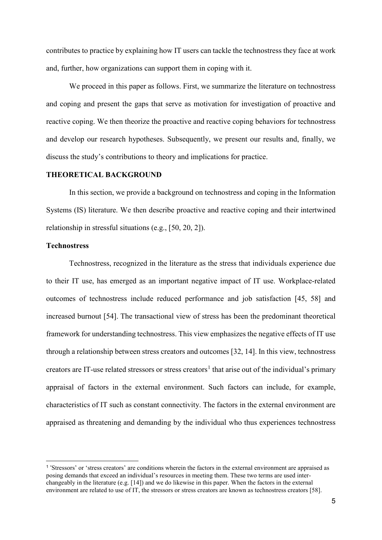contributes to practice by explaining how IT users can tackle the technostress they face at work and, further, how organizations can support them in coping with it.

We proceed in this paper as follows. First, we summarize the literature on technostress and coping and present the gaps that serve as motivation for investigation of proactive and reactive coping. We then theorize the proactive and reactive coping behaviors for technostress and develop our research hypotheses. Subsequently, we present our results and, finally, we discuss the study's contributions to theory and implications for practice.

# **THEORETICAL BACKGROUND**

In this section, we provide a background on technostress and coping in the Information Systems (IS) literature. We then describe proactive and reactive coping and their intertwined relationship in stressful situations (e.g., [\[50,](#page-37-5) [20,](#page-35-0) [2\]](#page-34-1)).

## **Technostress**

Technostress, recognized in the literature as the stress that individuals experience due to their IT use, has emerged as an important negative impact of IT use. Workplace-related outcomes of technostress include reduced performance and job satisfaction [\[45,](#page-36-0) [58\]](#page-37-4) and increased burnout [\[54\]](#page-37-2). The transactional view of stress has been the predominant theoretical framework for understanding technostress. This view emphasizes the negative effects of IT use through a relationship between stress creators and outcomes [\[32,](#page-36-3) [14\]](#page-35-2). In this view, technostress creators are IT-use related stressors or stress creators<sup>[1](#page-4-0)</sup> that arise out of the individual's primary appraisal of factors in the external environment. Such factors can include, for example, characteristics of IT such as constant connectivity. The factors in the external environment are appraised as threatening and demanding by the individual who thus experiences technostress

<span id="page-4-0"></span> <sup>1</sup> 'Stressors' or 'stress creators' are conditions wherein the factors in the external environment are appraised as posing demands that exceed an individual's resources in meeting them. These two terms are used interchangeably in the literature (e.g. [\[14\]](#page-35-2)) and we do likewise in this paper. When the factors in the external environment are related to use of IT, the stressors or stress creators are known as technostress creators [\[58\]](#page-37-4).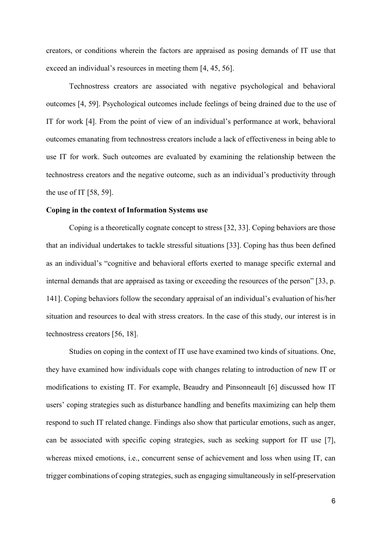creators, or conditions wherein the factors are appraised as posing demands of IT use that exceed an individual's resources in meeting them [\[4,](#page-34-0) [45,](#page-36-0) [56\]](#page-37-3).

Technostress creators are associated with negative psychological and behavioral outcomes [\[4,](#page-34-0) [59\]](#page-37-1). Psychological outcomes include feelings of being drained due to the use of IT for work [\[4\]](#page-34-0). From the point of view of an individual's performance at work, behavioral outcomes emanating from technostress creators include a lack of effectiveness in being able to use IT for work. Such outcomes are evaluated by examining the relationship between the technostress creators and the negative outcome, such as an individual's productivity through the use of IT [\[58,](#page-37-4) [59\]](#page-37-1).

#### **Coping in the context of Information Systems use**

Coping is a theoretically cognate concept to stress [\[32,](#page-36-3) [33\]](#page-36-1). Coping behaviors are those that an individual undertakes to tackle stressful situations [\[33\]](#page-36-1). Coping has thus been defined as an individual's "cognitive and behavioral efforts exerted to manage specific external and internal demands that are appraised as taxing or exceeding the resources of the person" [\[33,](#page-36-1) p. 141]. Coping behaviors follow the secondary appraisal of an individual's evaluation of his/her situation and resources to deal with stress creators. In the case of this study, our interest is in technostress creators [\[56,](#page-37-3) [18\]](#page-35-3).

Studies on coping in the context of IT use have examined two kinds of situations. One, they have examined how individuals cope with changes relating to introduction of new IT or modifications to existing IT. For example, Beaudry and Pinsonneault [\[6\]](#page-34-2) discussed how IT users' coping strategies such as disturbance handling and benefits maximizing can help them respond to such IT related change. Findings also show that particular emotions, such as anger, can be associated with specific coping strategies, such as seeking support for IT use [\[7\]](#page-35-4), whereas mixed emotions, i.e., concurrent sense of achievement and loss when using IT, can trigger combinations of coping strategies, such as engaging simultaneously in self-preservation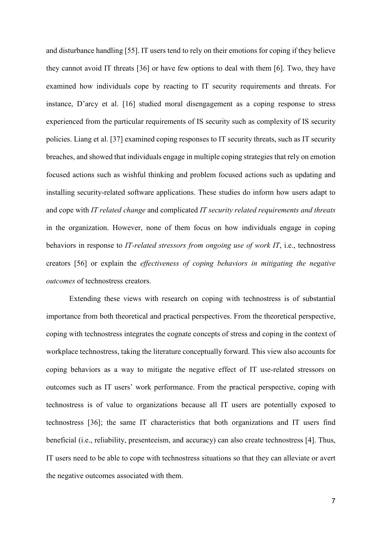and disturbance handling [\[55\]](#page-37-8). IT users tend to rely on their emotions for coping if they believe they cannot avoid IT threats [\[36\]](#page-36-4) or have few options to deal with them [\[6\]](#page-34-2). Two, they have examined how individuals cope by reacting to IT security requirements and threats. For instance, D'arcy et al. [\[16\]](#page-35-5) studied moral disengagement as a coping response to stress experienced from the particular requirements of IS security such as complexity of IS security policies. Liang et al. [\[37\]](#page-36-5) examined coping responses to IT security threats, such as IT security breaches, and showed that individuals engage in multiple coping strategies that rely on emotion focused actions such as wishful thinking and problem focused actions such as updating and installing security-related software applications. These studies do inform how users adapt to and cope with *IT related change* and complicated *IT security related requirements and threats* in the organization. However, none of them focus on how individuals engage in coping behaviors in response to *IT-related stressors from ongoing use of work IT*, i.e., technostress creators [\[56\]](#page-37-3) or explain the *effectiveness of coping behaviors in mitigating the negative outcomes* of technostress creators.

Extending these views with research on coping with technostress is of substantial importance from both theoretical and practical perspectives. From the theoretical perspective, coping with technostress integrates the cognate concepts of stress and coping in the context of workplace technostress, taking the literature conceptually forward. This view also accounts for coping behaviors as a way to mitigate the negative effect of IT use-related stressors on outcomes such as IT users' work performance. From the practical perspective, coping with technostress is of value to organizations because all IT users are potentially exposed to technostress [\[36\]](#page-36-4); the same IT characteristics that both organizations and IT users find beneficial (i.e., reliability, presenteeism, and accuracy) can also create technostress [\[4\]](#page-34-0). Thus, IT users need to be able to cope with technostress situations so that they can alleviate or avert the negative outcomes associated with them.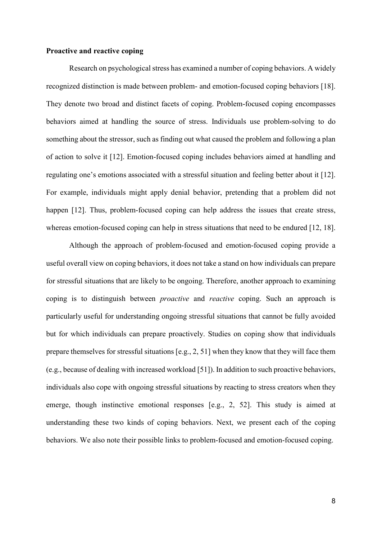## **Proactive and reactive coping**

Research on psychological stress has examined a number of coping behaviors. A widely recognized distinction is made between problem- and emotion-focused coping behaviors [\[18\]](#page-35-3). They denote two broad and distinct facets of coping. Problem-focused coping encompasses behaviors aimed at handling the source of stress. Individuals use problem-solving to do something about the stressor, such as finding out what caused the problem and following a plan of action to solve it [\[12\]](#page-35-1). Emotion-focused coping includes behaviors aimed at handling and regulating one's emotions associated with a stressful situation and feeling better about it [\[12\]](#page-35-1). For example, individuals might apply denial behavior, pretending that a problem did not happen [\[12\]](#page-35-1). Thus, problem-focused coping can help address the issues that create stress, whereas emotion-focused coping can help in stress situations that need to be endured [\[12,](#page-35-1) [18\]](#page-35-3).

Although the approach of problem-focused and emotion-focused coping provide a useful overall view on coping behaviors, it does not take a stand on how individuals can prepare for stressful situations that are likely to be ongoing. Therefore, another approach to examining coping is to distinguish between *proactive* and *reactive* coping. Such an approach is particularly useful for understanding ongoing stressful situations that cannot be fully avoided but for which individuals can prepare proactively. Studies on coping show that individuals prepare themselves for stressful situations [e.g., [2,](#page-34-1) [51\]](#page-37-9) when they know that they will face them (e.g., because of dealing with increased workload [\[51\]](#page-37-9)). In addition to such proactive behaviors, individuals also cope with ongoing stressful situations by reacting to stress creators when they emerge, though instinctive emotional responses [e.g., [2,](#page-34-1) [52\]](#page-37-6). This study is aimed at understanding these two kinds of coping behaviors. Next, we present each of the coping behaviors. We also note their possible links to problem-focused and emotion-focused coping.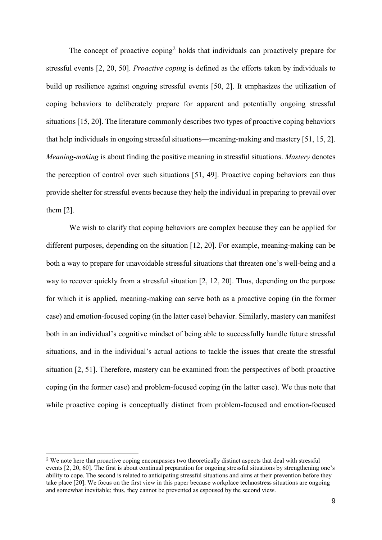The concept of proactive coping<sup>[2](#page-8-0)</sup> holds that individuals can proactively prepare for stressful events [\[2,](#page-34-1) [20,](#page-35-0) [50\]](#page-37-5). *Proactive coping* is defined as the efforts taken by individuals to build up resilience against ongoing stressful events [\[50,](#page-37-5) [2\]](#page-34-1). It emphasizes the utilization of coping behaviors to deliberately prepare for apparent and potentially ongoing stressful situations [\[15,](#page-35-6) [20\]](#page-35-0). The literature commonly describes two types of proactive coping behaviors that help individuals in ongoing stressful situations—meaning-making and mastery [\[51,](#page-37-9) [15,](#page-35-6) [2\]](#page-34-1). *Meaning-making* is about finding the positive meaning in stressful situations. *Mastery* denotes the perception of control over such situations [\[51,](#page-37-9) [49\]](#page-37-10). Proactive coping behaviors can thus provide shelter for stressful events because they help the individual in preparing to prevail over them [\[2\]](#page-34-1).

We wish to clarify that coping behaviors are complex because they can be applied for different purposes, depending on the situation [\[12,](#page-35-1) [20\]](#page-35-0). For example, meaning-making can be both a way to prepare for unavoidable stressful situations that threaten one's well-being and a way to recover quickly from a stressful situation [\[2,](#page-34-1) [12,](#page-35-1) [20\]](#page-35-0). Thus, depending on the purpose for which it is applied, meaning-making can serve both as a proactive coping (in the former case) and emotion-focused coping (in the latter case) behavior. Similarly, mastery can manifest both in an individual's cognitive mindset of being able to successfully handle future stressful situations, and in the individual's actual actions to tackle the issues that create the stressful situation [\[2,](#page-34-1) [51\]](#page-37-9). Therefore, mastery can be examined from the perspectives of both proactive coping (in the former case) and problem-focused coping (in the latter case). We thus note that while proactive coping is conceptually distinct from problem-focused and emotion-focused

<span id="page-8-0"></span><sup>&</sup>lt;sup>2</sup> We note here that proactive coping encompasses two theoretically distinct aspects that deal with stressful events [\[2,](#page-34-1) [20,](#page-35-0) [60\]](#page-37-7). The first is about continual preparation for ongoing stressful situations by strengthening one's ability to cope. The second is related to anticipating stressful situations and aims at their prevention before they take place [\[20\]](#page-35-0). We focus on the first view in this paper because workplace technostress situations are ongoing and somewhat inevitable; thus, they cannot be prevented as espoused by the second view.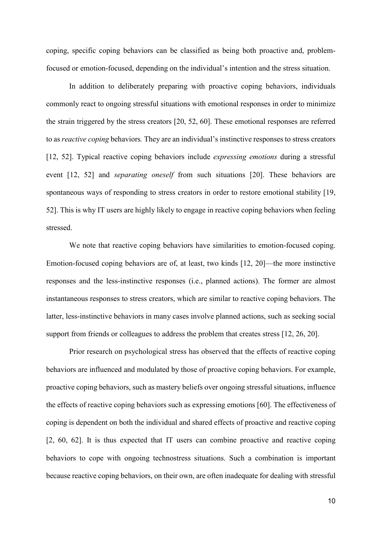coping, specific coping behaviors can be classified as being both proactive and, problemfocused or emotion-focused, depending on the individual's intention and the stress situation.

In addition to deliberately preparing with proactive coping behaviors, individuals commonly react to ongoing stressful situations with emotional responses in order to minimize the strain triggered by the stress creators [\[20,](#page-35-0) [52,](#page-37-6) [60\]](#page-37-7). These emotional responses are referred to as *reactive coping* behaviors*.* They are an individual's instinctive responses to stress creators [\[12,](#page-35-1) [52\]](#page-37-6). Typical reactive coping behaviors include *expressing emotions* during a stressful event [\[12,](#page-35-1) [52\]](#page-37-6) and *separating oneself* from such situations [\[20\]](#page-35-0). These behaviors are spontaneous ways of responding to stress creators in order to restore emotional stability [\[19,](#page-35-7) [52\]](#page-37-6). This is why IT users are highly likely to engage in reactive coping behaviors when feeling stressed.

We note that reactive coping behaviors have similarities to emotion-focused coping. Emotion-focused coping behaviors are of, at least, two kinds [\[12,](#page-35-1) [20\]](#page-35-0)—the more instinctive responses and the less-instinctive responses (i.e., planned actions). The former are almost instantaneous responses to stress creators, which are similar to reactive coping behaviors. The latter, less-instinctive behaviors in many cases involve planned actions, such as seeking social support from friends or colleagues to address the problem that creates stress [\[12,](#page-35-1) [26,](#page-36-2) [20\]](#page-35-0).

Prior research on psychological stress has observed that the effects of reactive coping behaviors are influenced and modulated by those of proactive coping behaviors. For example, proactive coping behaviors, such as mastery beliefs over ongoing stressful situations, influence the effects of reactive coping behaviors such as expressing emotions [\[60\]](#page-37-7). The effectiveness of coping is dependent on both the individual and shared effects of proactive and reactive coping [\[2,](#page-34-1) [60,](#page-37-7) [62\]](#page-37-11). It is thus expected that IT users can combine proactive and reactive coping behaviors to cope with ongoing technostress situations. Such a combination is important because reactive coping behaviors, on their own, are often inadequate for dealing with stressful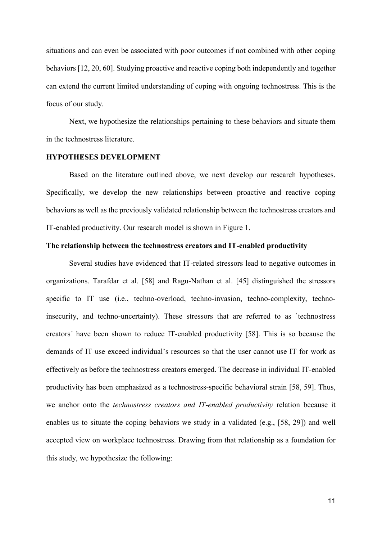situations and can even be associated with poor outcomes if not combined with other coping behaviors [\[12,](#page-35-1) [20,](#page-35-0) [60\]](#page-37-7). Studying proactive and reactive coping both independently and together can extend the current limited understanding of coping with ongoing technostress. This is the focus of our study.

Next, we hypothesize the relationships pertaining to these behaviors and situate them in the technostress literature.

#### **HYPOTHESES DEVELOPMENT**

Based on the literature outlined above, we next develop our research hypotheses. Specifically, we develop the new relationships between proactive and reactive coping behaviors as well as the previously validated relationship between the technostress creators and IT-enabled productivity. Our research model is shown in Figure 1.

### **The relationship between the technostress creators and IT-enabled productivity**

Several studies have evidenced that IT-related stressors lead to negative outcomes in organizations. Tarafdar et al. [\[58\]](#page-37-4) and Ragu-Nathan et al. [\[45\]](#page-36-0) distinguished the stressors specific to IT use (i.e., techno-overload, techno-invasion, techno-complexity, technoinsecurity, and techno-uncertainty). These stressors that are referred to as `technostress creators´ have been shown to reduce IT-enabled productivity [\[58\]](#page-37-4). This is so because the demands of IT use exceed individual's resources so that the user cannot use IT for work as effectively as before the technostress creators emerged. The decrease in individual IT-enabled productivity has been emphasized as a technostress-specific behavioral strain [\[58,](#page-37-4) [59\]](#page-37-1). Thus, we anchor onto the *technostress creators and IT-enabled productivity* relation because it enables us to situate the coping behaviors we study in a validated (e.g., [\[58,](#page-37-4) [29\]](#page-36-6)) and well accepted view on workplace technostress. Drawing from that relationship as a foundation for this study, we hypothesize the following: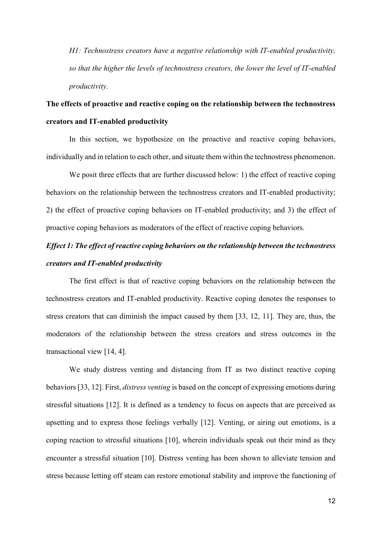*H1: Technostress creators have a negative relationship with IT-enabled productivity, so that the higher the levels of technostress creators, the lower the level of IT-enabled productivity.*

# **The effects of proactive and reactive coping on the relationship between the technostress creators and IT-enabled productivity**

In this section, we hypothesize on the proactive and reactive coping behaviors, individually and in relation to each other, and situate them within the technostress phenomenon.

We posit three effects that are further discussed below: 1) the effect of reactive coping behaviors on the relationship between the technostress creators and IT-enabled productivity; 2) the effect of proactive coping behaviors on IT-enabled productivity; and 3) the effect of proactive coping behaviors as moderators of the effect of reactive coping behaviors.

# *Effect 1: The effect of reactive coping behaviors on the relationship between the technostress creators and IT-enabled productivity*

The first effect is that of reactive coping behaviors on the relationship between the technostress creators and IT-enabled productivity. Reactive coping denotes the responses to stress creators that can diminish the impact caused by them [\[33,](#page-36-1) [12,](#page-35-1) [11\]](#page-35-8). They are, thus, the moderators of the relationship between the stress creators and stress outcomes in the transactional view [\[14,](#page-35-2) [4\]](#page-34-0).

We study distress venting and distancing from IT as two distinct reactive coping behaviors [\[33,](#page-36-1) [12\]](#page-35-1). First, *distress venting* is based on the concept of expressing emotions during stressful situations [\[12\]](#page-35-1). It is defined as a tendency to focus on aspects that are perceived as upsetting and to express those feelings verbally [\[12\]](#page-35-1). Venting, or airing out emotions, is a coping reaction to stressful situations [\[10\]](#page-35-9), wherein individuals speak out their mind as they encounter a stressful situation [\[10\]](#page-35-9). Distress venting has been shown to alleviate tension and stress because letting off steam can restore emotional stability and improve the functioning of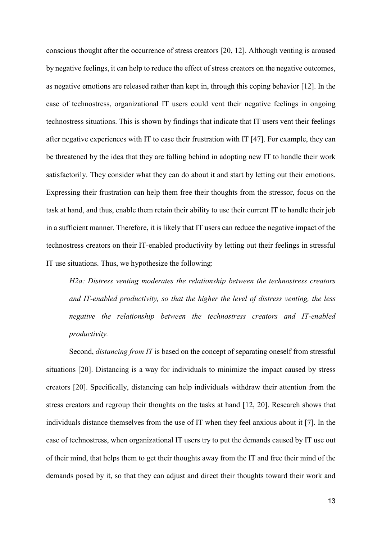conscious thought after the occurrence of stress creators [\[20,](#page-35-0) [12\]](#page-35-1). Although venting is aroused by negative feelings, it can help to reduce the effect of stress creators on the negative outcomes, as negative emotions are released rather than kept in, through this coping behavior [\[12\]](#page-35-1). In the case of technostress, organizational IT users could vent their negative feelings in ongoing technostress situations. This is shown by findings that indicate that IT users vent their feelings after negative experiences with IT to ease their frustration with IT [\[47\]](#page-37-12). For example, they can be threatened by the idea that they are falling behind in adopting new IT to handle their work satisfactorily. They consider what they can do about it and start by letting out their emotions. Expressing their frustration can help them free their thoughts from the stressor, focus on the task at hand, and thus, enable them retain their ability to use their current IT to handle their job in a sufficient manner. Therefore, it is likely that IT users can reduce the negative impact of the technostress creators on their IT-enabled productivity by letting out their feelings in stressful IT use situations. Thus, we hypothesize the following:

*H2a: Distress venting moderates the relationship between the technostress creators and IT-enabled productivity, so that the higher the level of distress venting, the less negative the relationship between the technostress creators and IT-enabled productivity.*

Second, *distancing from IT* is based on the concept of separating oneself from stressful situations [\[20\]](#page-35-0). Distancing is a way for individuals to minimize the impact caused by stress creators [\[20\]](#page-35-0). Specifically, distancing can help individuals withdraw their attention from the stress creators and regroup their thoughts on the tasks at hand [\[12,](#page-35-1) [20\]](#page-35-0). Research shows that individuals distance themselves from the use of IT when they feel anxious about it [\[7\]](#page-35-4). In the case of technostress, when organizational IT users try to put the demands caused by IT use out of their mind, that helps them to get their thoughts away from the IT and free their mind of the demands posed by it, so that they can adjust and direct their thoughts toward their work and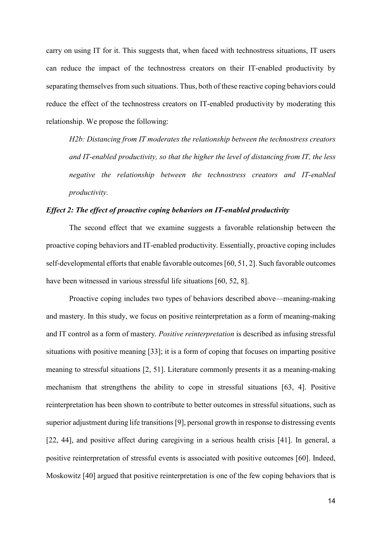carry on using IT for it. This suggests that, when faced with technostress situations, IT users can reduce the impact of the technostress creators on their IT-enabled productivity by separating themselves from such situations. Thus, both of these reactive coping behaviors could reduce the effect of the technostress creators on IT-enabled productivity by moderating this relationship. We propose the following:

*H2b: Distancing from IT moderates the relationship between the technostress creators and IT-enabled productivity, so that the higher the level of distancing from IT, the less negative the relationship between the technostress creators and IT-enabled productivity.*

## *Effect 2: The effect of proactive coping behaviors on IT-enabled productivity*

The second effect that we examine suggests a favorable relationship between the proactive coping behaviors and IT-enabled productivity. Essentially, proactive coping includes self-developmental efforts that enable favorable outcomes [\[60,](#page-37-7) [51,](#page-37-9) [2\]](#page-34-1). Such favorable outcomes have been witnessed in various stressful life situations [\[60,](#page-37-7) [52,](#page-37-6) [8\]](#page-35-10).

Proactive coping includes two types of behaviors described above—meaning-making and mastery. In this study, we focus on positive reinterpretation as a form of meaning-making and IT control as a form of mastery. *Positive reinterpretation* is described as infusing stressful situations with positive meaning [\[33\]](#page-36-1); it is a form of coping that focuses on imparting positive meaning to stressful situations [\[2,](#page-34-1) [51\]](#page-37-9). Literature commonly presents it as a meaning-making mechanism that strengthens the ability to cope in stressful situations [63, 4]. Positive reinterpretation has been shown to contribute to better outcomes in stressful situations, such as superior adjustment during life transitions [\[9\]](#page-35-11), personal growth in response to distressing events [\[22,](#page-35-12) [44\]](#page-36-7), and positive affect during caregiving in a serious health crisis [\[41\]](#page-36-8). In general, a positive reinterpretation of stressful events is associated with positive outcomes [\[60\]](#page-37-7). Indeed, Moskowitz [\[40\]](#page-36-9) argued that positive reinterpretation is one of the few coping behaviors that is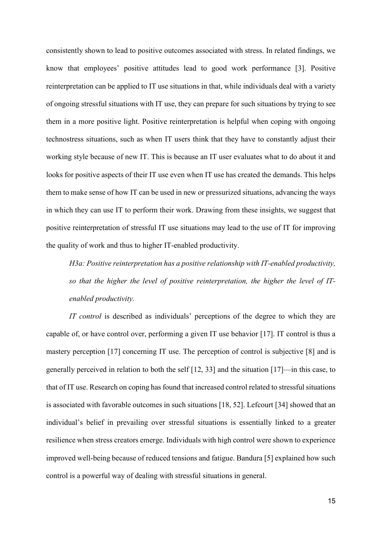consistently shown to lead to positive outcomes associated with stress. In related findings, we know that employees' positive attitudes lead to good work performance [\[3\]](#page-34-3). Positive reinterpretation can be applied to IT use situations in that, while individuals deal with a variety of ongoing stressful situations with IT use, they can prepare for such situations by trying to see them in a more positive light. Positive reinterpretation is helpful when coping with ongoing technostress situations, such as when IT users think that they have to constantly adjust their working style because of new IT. This is because an IT user evaluates what to do about it and looks for positive aspects of their IT use even when IT use has created the demands. This helps them to make sense of how IT can be used in new or pressurized situations, advancing the ways in which they can use IT to perform their work. Drawing from these insights, we suggest that positive reinterpretation of stressful IT use situations may lead to the use of IT for improving the quality of work and thus to higher IT-enabled productivity.

*H3a: Positive reinterpretation has a positive relationship with IT-enabled productivity, so that the higher the level of positive reinterpretation, the higher the level of ITenabled productivity.*

*IT control* is described as individuals' perceptions of the degree to which they are capable of, or have control over, performing a given IT use behavior [\[17\]](#page-35-13). IT control is thus a mastery perception [\[17\]](#page-35-13) concerning IT use. The perception of control is subjective [\[8\]](#page-35-10) and is generally perceived in relation to both the self [\[12,](#page-35-1) [33\]](#page-36-1) and the situation [\[17\]](#page-35-13)—in this case, to that of IT use. Research on coping has found that increased control related to stressful situations is associated with favorable outcomes in such situations [\[18,](#page-35-3) [52\]](#page-37-6). Lefcourt [\[34\]](#page-36-10) showed that an individual's belief in prevailing over stressful situations is essentially linked to a greater resilience when stress creators emerge. Individuals with high control were shown to experience improved well-being because of reduced tensions and fatigue. Bandura [\[5\]](#page-34-4) explained how such control is a powerful way of dealing with stressful situations in general.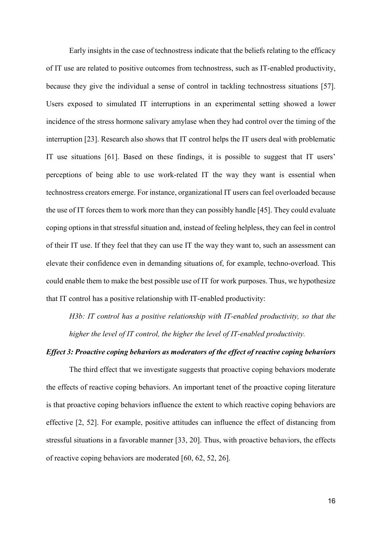Early insights in the case of technostress indicate that the beliefs relating to the efficacy of IT use are related to positive outcomes from technostress, such as IT-enabled productivity, because they give the individual a sense of control in tackling technostress situations [\[57\]](#page-37-0). Users exposed to simulated IT interruptions in an experimental setting showed a lower incidence of the stress hormone salivary amylase when they had control over the timing of the interruption [\[23\]](#page-35-14). Research also shows that IT control helps the IT users deal with problematic IT use situations [\[61\]](#page-37-13). Based on these findings, it is possible to suggest that IT users' perceptions of being able to use work-related IT the way they want is essential when technostress creators emerge. For instance, organizational IT users can feel overloaded because the use of IT forces them to work more than they can possibly handle [\[45\]](#page-36-0). They could evaluate coping options in that stressful situation and, instead of feeling helpless, they can feel in control of their IT use. If they feel that they can use IT the way they want to, such an assessment can elevate their confidence even in demanding situations of, for example, techno-overload. This could enable them to make the best possible use of IT for work purposes. Thus, we hypothesize that IT control has a positive relationship with IT-enabled productivity:

*H3b: IT control has a positive relationship with IT-enabled productivity, so that the higher the level of IT control, the higher the level of IT-enabled productivity.*

## *Effect 3: Proactive coping behaviors as moderators of the effect of reactive coping behaviors*

The third effect that we investigate suggests that proactive coping behaviors moderate the effects of reactive coping behaviors. An important tenet of the proactive coping literature is that proactive coping behaviors influence the extent to which reactive coping behaviors are effective [\[2,](#page-34-1) [52\]](#page-37-6). For example, positive attitudes can influence the effect of distancing from stressful situations in a favorable manner [\[33,](#page-36-1) [20\]](#page-35-0). Thus, with proactive behaviors, the effects of reactive coping behaviors are moderated [\[60,](#page-37-7) [62,](#page-37-11) [52,](#page-37-6) [26\]](#page-36-2).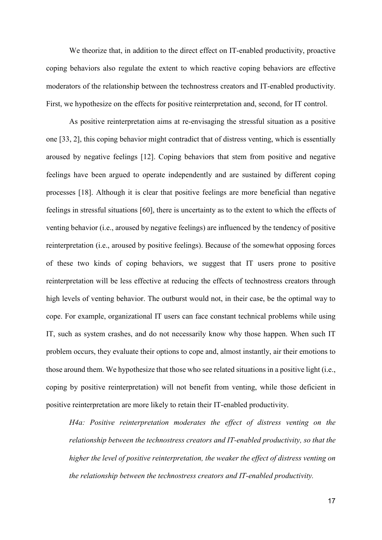We theorize that, in addition to the direct effect on IT-enabled productivity, proactive coping behaviors also regulate the extent to which reactive coping behaviors are effective moderators of the relationship between the technostress creators and IT-enabled productivity. First, we hypothesize on the effects for positive reinterpretation and, second, for IT control.

As positive reinterpretation aims at re-envisaging the stressful situation as a positive one [\[33,](#page-36-1) [2\]](#page-34-1), this coping behavior might contradict that of distress venting, which is essentially aroused by negative feelings [\[12\]](#page-35-1). Coping behaviors that stem from positive and negative feelings have been argued to operate independently and are sustained by different coping processes [\[18\]](#page-35-3). Although it is clear that positive feelings are more beneficial than negative feelings in stressful situations [\[60\]](#page-37-7), there is uncertainty as to the extent to which the effects of venting behavior (i.e., aroused by negative feelings) are influenced by the tendency of positive reinterpretation (i.e., aroused by positive feelings). Because of the somewhat opposing forces of these two kinds of coping behaviors, we suggest that IT users prone to positive reinterpretation will be less effective at reducing the effects of technostress creators through high levels of venting behavior. The outburst would not, in their case, be the optimal way to cope. For example, organizational IT users can face constant technical problems while using IT, such as system crashes, and do not necessarily know why those happen. When such IT problem occurs, they evaluate their options to cope and, almost instantly, air their emotions to those around them. We hypothesize that those who see related situations in a positive light (i.e., coping by positive reinterpretation) will not benefit from venting, while those deficient in positive reinterpretation are more likely to retain their IT-enabled productivity.

*H4a: Positive reinterpretation moderates the effect of distress venting on the relationship between the technostress creators and IT-enabled productivity, so that the higher the level of positive reinterpretation, the weaker the effect of distress venting on the relationship between the technostress creators and IT-enabled productivity.*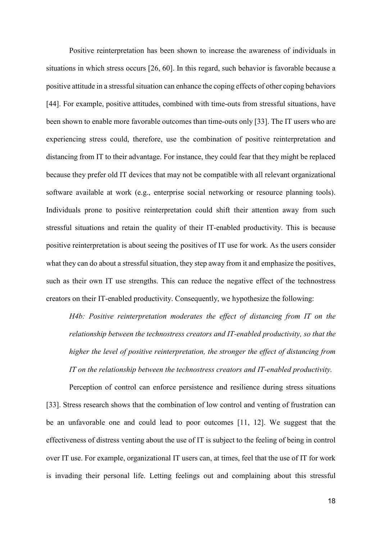Positive reinterpretation has been shown to increase the awareness of individuals in situations in which stress occurs [\[26,](#page-36-2) [60\]](#page-37-7). In this regard, such behavior is favorable because a positive attitude in a stressful situation can enhance the coping effects of other coping behaviors [\[44\]](#page-36-7). For example, positive attitudes, combined with time-outs from stressful situations, have been shown to enable more favorable outcomes than time-outs only [\[33\]](#page-36-1). The IT users who are experiencing stress could, therefore, use the combination of positive reinterpretation and distancing from IT to their advantage. For instance, they could fear that they might be replaced because they prefer old IT devices that may not be compatible with all relevant organizational software available at work (e.g., enterprise social networking or resource planning tools). Individuals prone to positive reinterpretation could shift their attention away from such stressful situations and retain the quality of their IT-enabled productivity. This is because positive reinterpretation is about seeing the positives of IT use for work. As the users consider what they can do about a stressful situation, they step away from it and emphasize the positives, such as their own IT use strengths. This can reduce the negative effect of the technostress creators on their IT-enabled productivity. Consequently, we hypothesize the following:

*H4b: Positive reinterpretation moderates the effect of distancing from IT on the relationship between the technostress creators and IT-enabled productivity, so that the higher the level of positive reinterpretation, the stronger the effect of distancing from IT on the relationship between the technostress creators and IT-enabled productivity.*

Perception of control can enforce persistence and resilience during stress situations [\[33\]](#page-36-1). Stress research shows that the combination of low control and venting of frustration can be an unfavorable one and could lead to poor outcomes [\[11,](#page-35-8) [12\]](#page-35-1). We suggest that the effectiveness of distress venting about the use of IT is subject to the feeling of being in control over IT use. For example, organizational IT users can, at times, feel that the use of IT for work is invading their personal life. Letting feelings out and complaining about this stressful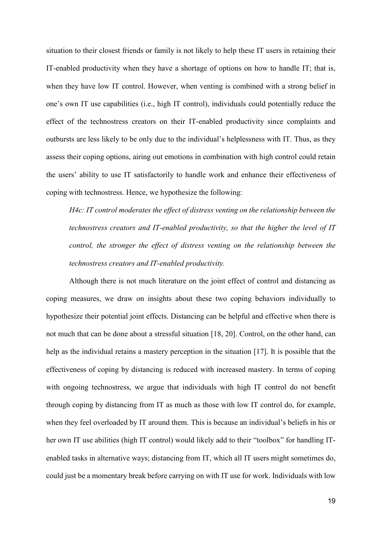situation to their closest friends or family is not likely to help these IT users in retaining their IT-enabled productivity when they have a shortage of options on how to handle IT; that is, when they have low IT control. However, when venting is combined with a strong belief in one's own IT use capabilities (i.e., high IT control), individuals could potentially reduce the effect of the technostress creators on their IT-enabled productivity since complaints and outbursts are less likely to be only due to the individual's helplessness with IT. Thus, as they assess their coping options, airing out emotions in combination with high control could retain the users' ability to use IT satisfactorily to handle work and enhance their effectiveness of coping with technostress. Hence, we hypothesize the following:

*H4c: IT control moderates the effect of distress venting on the relationship between the technostress creators and IT-enabled productivity, so that the higher the level of IT control, the stronger the effect of distress venting on the relationship between the technostress creators and IT-enabled productivity.*

Although there is not much literature on the joint effect of control and distancing as coping measures, we draw on insights about these two coping behaviors individually to hypothesize their potential joint effects. Distancing can be helpful and effective when there is not much that can be done about a stressful situation [\[18,](#page-35-3) [20\]](#page-35-0). Control, on the other hand, can help as the individual retains a mastery perception in the situation [\[17\]](#page-35-13). It is possible that the effectiveness of coping by distancing is reduced with increased mastery. In terms of coping with ongoing technostress, we argue that individuals with high IT control do not benefit through coping by distancing from IT as much as those with low IT control do, for example, when they feel overloaded by IT around them. This is because an individual's beliefs in his or her own IT use abilities (high IT control) would likely add to their "toolbox" for handling ITenabled tasks in alternative ways; distancing from IT, which all IT users might sometimes do, could just be a momentary break before carrying on with IT use for work. Individuals with low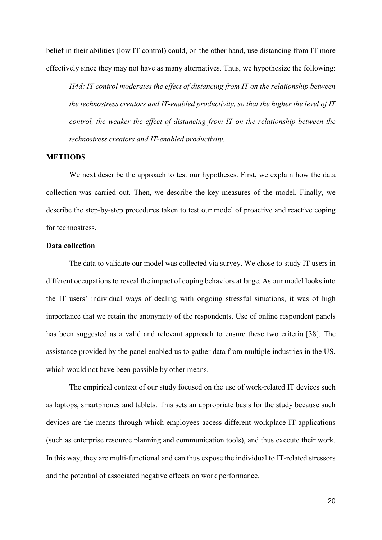belief in their abilities (low IT control) could, on the other hand, use distancing from IT more effectively since they may not have as many alternatives. Thus, we hypothesize the following:

*H4d: IT control moderates the effect of distancing from IT on the relationship between the technostress creators and IT-enabled productivity, so that the higher the level of IT control, the weaker the effect of distancing from IT on the relationship between the technostress creators and IT-enabled productivity.*

#### **METHODS**

We next describe the approach to test our hypotheses. First, we explain how the data collection was carried out. Then, we describe the key measures of the model. Finally, we describe the step-by-step procedures taken to test our model of proactive and reactive coping for technostress.

## **Data collection**

The data to validate our model was collected via survey. We chose to study IT users in different occupations to reveal the impact of coping behaviors at large. As our model looks into the IT users' individual ways of dealing with ongoing stressful situations, it was of high importance that we retain the anonymity of the respondents. Use of online respondent panels has been suggested as a valid and relevant approach to ensure these two criteria [\[38\]](#page-36-11). The assistance provided by the panel enabled us to gather data from multiple industries in the US, which would not have been possible by other means.

The empirical context of our study focused on the use of work-related IT devices such as laptops, smartphones and tablets. This sets an appropriate basis for the study because such devices are the means through which employees access different workplace IT-applications (such as enterprise resource planning and communication tools), and thus execute their work. In this way, they are multi-functional and can thus expose the individual to IT-related stressors and the potential of associated negative effects on work performance.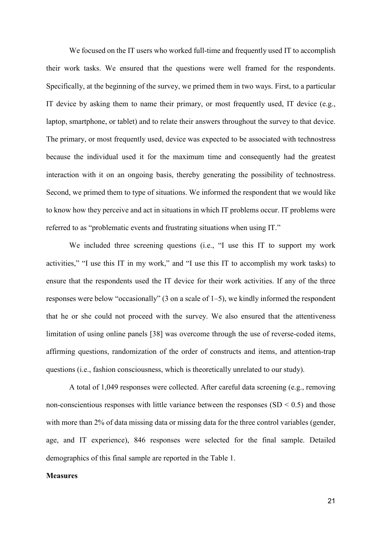We focused on the IT users who worked full-time and frequently used IT to accomplish their work tasks. We ensured that the questions were well framed for the respondents. Specifically, at the beginning of the survey, we primed them in two ways. First, to a particular IT device by asking them to name their primary, or most frequently used, IT device (e.g., laptop, smartphone, or tablet) and to relate their answers throughout the survey to that device. The primary, or most frequently used, device was expected to be associated with technostress because the individual used it for the maximum time and consequently had the greatest interaction with it on an ongoing basis, thereby generating the possibility of technostress. Second, we primed them to type of situations. We informed the respondent that we would like to know how they perceive and act in situations in which IT problems occur. IT problems were referred to as "problematic events and frustrating situations when using IT."

We included three screening questions (i.e., "I use this IT to support my work activities," "I use this IT in my work," and "I use this IT to accomplish my work tasks) to ensure that the respondents used the IT device for their work activities. If any of the three responses were below "occasionally" (3 on a scale of 1–5), we kindly informed the respondent that he or she could not proceed with the survey. We also ensured that the attentiveness limitation of using online panels [\[38\]](#page-36-11) was overcome through the use of reverse-coded items, affirming questions, randomization of the order of constructs and items, and attention-trap questions (i.e., fashion consciousness, which is theoretically unrelated to our study).

A total of 1,049 responses were collected. After careful data screening (e.g., removing non-conscientious responses with little variance between the responses  $(SD < 0.5)$  and those with more than 2% of data missing data or missing data for the three control variables (gender, age, and IT experience), 846 responses were selected for the final sample. Detailed demographics of this final sample are reported in the Table 1.

## **Measures**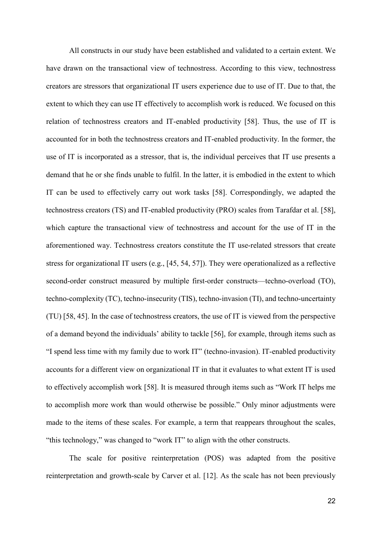All constructs in our study have been established and validated to a certain extent. We have drawn on the transactional view of technostress. According to this view, technostress creators are stressors that organizational IT users experience due to use of IT. Due to that, the extent to which they can use IT effectively to accomplish work is reduced. We focused on this relation of technostress creators and IT-enabled productivity [\[58\]](#page-37-4). Thus, the use of IT is accounted for in both the technostress creators and IT-enabled productivity. In the former, the use of IT is incorporated as a stressor, that is, the individual perceives that IT use presents a demand that he or she finds unable to fulfil. In the latter, it is embodied in the extent to which IT can be used to effectively carry out work tasks [\[58\]](#page-37-4). Correspondingly, we adapted the technostress creators (TS) and IT-enabled productivity (PRO) scales from Tarafdar et al. [\[58\]](#page-37-4), which capture the transactional view of technostress and account for the use of IT in the aforementioned way. Technostress creators constitute the IT use-related stressors that create stress for organizational IT users (e.g., [\[45,](#page-36-0) [54,](#page-37-2) [57\]](#page-37-0)). They were operationalized as a reflective second-order construct measured by multiple first-order constructs—techno-overload (TO), techno-complexity (TC), techno-insecurity (TIS), techno-invasion (TI), and techno-uncertainty (TU) [\[58,](#page-37-4) [45\]](#page-36-0). In the case of technostress creators, the use of IT is viewed from the perspective of a demand beyond the individuals' ability to tackle [\[56\]](#page-37-3), for example, through items such as "I spend less time with my family due to work IT" (techno-invasion). IT-enabled productivity accounts for a different view on organizational IT in that it evaluates to what extent IT is used to effectively accomplish work [\[58\]](#page-37-4). It is measured through items such as "Work IT helps me to accomplish more work than would otherwise be possible." Only minor adjustments were made to the items of these scales. For example, a term that reappears throughout the scales, "this technology," was changed to "work IT" to align with the other constructs.

The scale for positive reinterpretation (POS) was adapted from the positive reinterpretation and growth-scale by Carver et al. [\[12\]](#page-35-1). As the scale has not been previously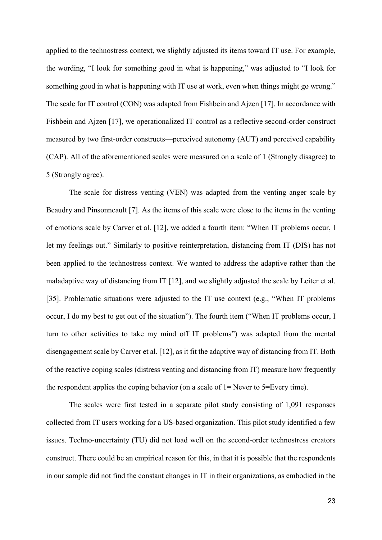applied to the technostress context, we slightly adjusted its items toward IT use. For example, the wording, "I look for something good in what is happening," was adjusted to "I look for something good in what is happening with IT use at work, even when things might go wrong." The scale for IT control (CON) was adapted from Fishbein and Ajzen [\[17\]](#page-35-13). In accordance with Fishbein and Ajzen [\[17\]](#page-35-13), we operationalized IT control as a reflective second-order construct measured by two first-order constructs—perceived autonomy (AUT) and perceived capability (CAP). All of the aforementioned scales were measured on a scale of 1 (Strongly disagree) to 5 (Strongly agree).

The scale for distress venting (VEN) was adapted from the venting anger scale by Beaudry and Pinsonneault [\[7\]](#page-35-4). As the items of this scale were close to the items in the venting of emotions scale by Carver et al. [\[12\]](#page-35-1), we added a fourth item: "When IT problems occur, I let my feelings out." Similarly to positive reinterpretation, distancing from IT (DIS) has not been applied to the technostress context. We wanted to address the adaptive rather than the maladaptive way of distancing from IT [\[12\]](#page-35-1), and we slightly adjusted the scale by Leiter et al. [\[35\]](#page-36-12). Problematic situations were adjusted to the IT use context (e.g., "When IT problems occur, I do my best to get out of the situation"). The fourth item ("When IT problems occur, I turn to other activities to take my mind off IT problems") was adapted from the mental disengagement scale by Carver et al. [\[12\]](#page-35-1), as it fit the adaptive way of distancing from IT. Both of the reactive coping scales (distress venting and distancing from IT) measure how frequently the respondent applies the coping behavior (on a scale of  $1 =$  Never to  $5 =$  Every time).

The scales were first tested in a separate pilot study consisting of 1,091 responses collected from IT users working for a US-based organization. This pilot study identified a few issues. Techno-uncertainty (TU) did not load well on the second-order technostress creators construct. There could be an empirical reason for this, in that it is possible that the respondents in our sample did not find the constant changes in IT in their organizations, as embodied in the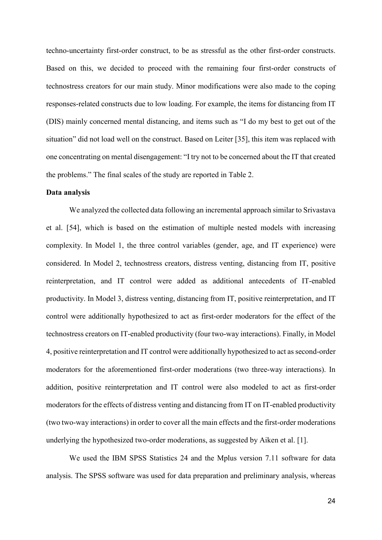techno-uncertainty first-order construct, to be as stressful as the other first-order constructs. Based on this, we decided to proceed with the remaining four first-order constructs of technostress creators for our main study. Minor modifications were also made to the coping responses-related constructs due to low loading. For example, the items for distancing from IT (DIS) mainly concerned mental distancing, and items such as "I do my best to get out of the situation" did not load well on the construct. Based on Leiter [\[35\]](#page-36-12), this item was replaced with one concentrating on mental disengagement: "I try not to be concerned about the IT that created the problems." The final scales of the study are reported in Table 2.

### **Data analysis**

We analyzed the collected data following an incremental approach similar to Srivastava et al. [\[54\]](#page-37-2), which is based on the estimation of multiple nested models with increasing complexity. In Model 1, the three control variables (gender, age, and IT experience) were considered. In Model 2, technostress creators, distress venting, distancing from IT, positive reinterpretation, and IT control were added as additional antecedents of IT-enabled productivity. In Model 3, distress venting, distancing from IT, positive reinterpretation, and IT control were additionally hypothesized to act as first-order moderators for the effect of the technostress creators on IT-enabled productivity (four two-way interactions). Finally, in Model 4, positive reinterpretation and IT control were additionally hypothesized to act as second-order moderators for the aforementioned first-order moderations (two three-way interactions). In addition, positive reinterpretation and IT control were also modeled to act as first-order moderators for the effects of distress venting and distancing from IT on IT-enabled productivity (two two-way interactions) in order to cover all the main effects and the first-order moderations underlying the hypothesized two-order moderations, as suggested by Aiken et al. [\[1\]](#page-34-5).

We used the IBM SPSS Statistics 24 and the Mplus version 7.11 software for data analysis. The SPSS software was used for data preparation and preliminary analysis, whereas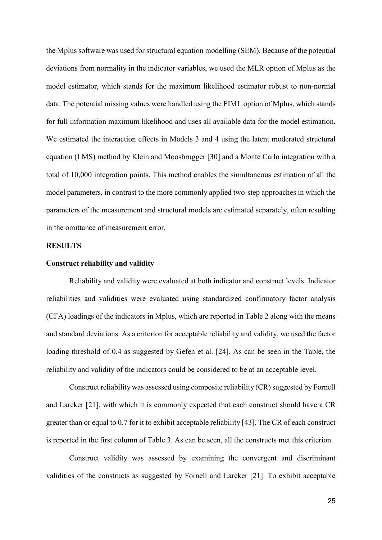the Mplus software was used for structural equation modelling (SEM). Because of the potential deviations from normality in the indicator variables, we used the MLR option of Mplus as the model estimator, which stands for the maximum likelihood estimator robust to non-normal data. The potential missing values were handled using the FIML option of Mplus, which stands for full information maximum likelihood and uses all available data for the model estimation. We estimated the interaction effects in Models 3 and 4 using the latent moderated structural equation (LMS) method by Klein and Moosbrugger [\[30\]](#page-36-13) and a Monte Carlo integration with a total of 10,000 integration points. This method enables the simultaneous estimation of all the model parameters, in contrast to the more commonly applied two-step approaches in which the parameters of the measurement and structural models are estimated separately, often resulting in the omittance of measurement error.

#### **RESULTS**

## **Construct reliability and validity**

Reliability and validity were evaluated at both indicator and construct levels. Indicator reliabilities and validities were evaluated using standardized confirmatory factor analysis (CFA) loadings of the indicators in Mplus, which are reported in Table 2 along with the means and standard deviations. As a criterion for acceptable reliability and validity, we used the factor loading threshold of 0.4 as suggested by Gefen et al. [\[24\]](#page-35-15). As can be seen in the Table, the reliability and validity of the indicators could be considered to be at an acceptable level.

Construct reliability was assessed using composite reliability (CR) suggested by Fornell and Larcker [\[21\]](#page-35-16), with which it is commonly expected that each construct should have a CR greater than or equal to 0.7 for it to exhibit acceptable reliability [\[43\]](#page-36-14). The CR of each construct is reported in the first column of Table 3. As can be seen, all the constructs met this criterion.

Construct validity was assessed by examining the convergent and discriminant validities of the constructs as suggested by Fornell and Larcker [\[21\]](#page-35-16). To exhibit acceptable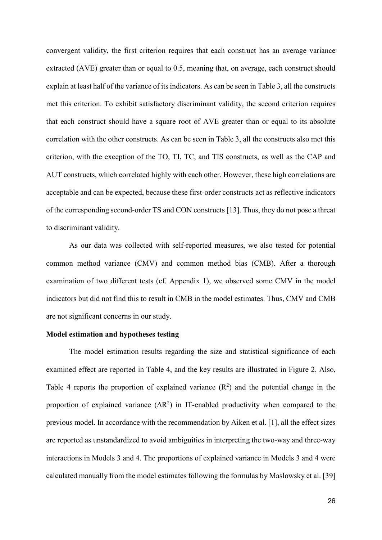convergent validity, the first criterion requires that each construct has an average variance extracted (AVE) greater than or equal to 0.5, meaning that, on average, each construct should explain at least half of the variance of its indicators. As can be seen in Table 3, all the constructs met this criterion. To exhibit satisfactory discriminant validity, the second criterion requires that each construct should have a square root of AVE greater than or equal to its absolute correlation with the other constructs. As can be seen in Table 3, all the constructs also met this criterion, with the exception of the TO, TI, TC, and TIS constructs, as well as the CAP and AUT constructs, which correlated highly with each other. However, these high correlations are acceptable and can be expected, because these first-order constructs act as reflective indicators of the corresponding second-order TS and CON constructs [\[13\]](#page-35-17). Thus, they do not pose a threat to discriminant validity.

As our data was collected with self-reported measures, we also tested for potential common method variance (CMV) and common method bias (CMB). After a thorough examination of two different tests (cf. Appendix 1), we observed some CMV in the model indicators but did not find this to result in CMB in the model estimates. Thus, CMV and CMB are not significant concerns in our study.

## **Model estimation and hypotheses testing**

The model estimation results regarding the size and statistical significance of each examined effect are reported in Table 4, and the key results are illustrated in Figure 2. Also, Table 4 reports the proportion of explained variance  $(R^2)$  and the potential change in the proportion of explained variance  $(\Delta R^2)$  in IT-enabled productivity when compared to the previous model. In accordance with the recommendation by Aiken et al. [\[1\]](#page-34-5), all the effect sizes are reported as unstandardized to avoid ambiguities in interpreting the two-way and three-way interactions in Models 3 and 4. The proportions of explained variance in Models 3 and 4 were calculated manually from the model estimates following the formulas by Maslowsky et al. [\[39\]](#page-36-15)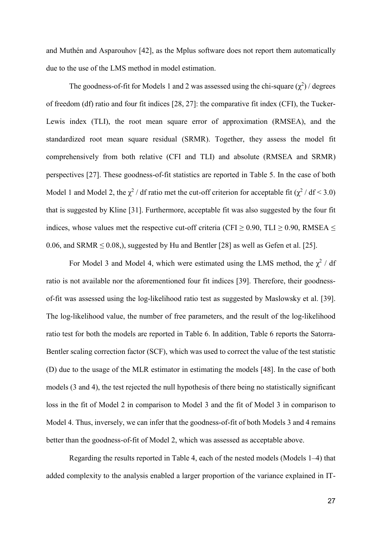and Muthén and Asparouhov [\[42\]](#page-36-16), as the Mplus software does not report them automatically due to the use of the LMS method in model estimation.

The goodness-of-fit for Models 1 and 2 was assessed using the chi-square  $(\chi^2)$  / degrees of freedom (df) ratio and four fit indices [\[28,](#page-36-17) [27\]](#page-36-18): the comparative fit index (CFI), the Tucker-Lewis index (TLI), the root mean square error of approximation (RMSEA), and the standardized root mean square residual (SRMR). Together, they assess the model fit comprehensively from both relative (CFI and TLI) and absolute (RMSEA and SRMR) perspectives [\[27\]](#page-36-18). These goodness-of-fit statistics are reported in Table 5. In the case of both Model 1 and Model 2, the  $\chi^2$  / df ratio met the cut-off criterion for acceptable fit ( $\chi^2$  / df < 3.0) that is suggested by Kline [\[31\]](#page-36-19). Furthermore, acceptable fit was also suggested by the four fit indices, whose values met the respective cut-off criteria (CFI  $\geq$  0.90, TLI  $\geq$  0.90, RMSEA  $\leq$ 0.06, and SRMR  $\leq$  0.08,), suggested by Hu and Bentler [\[28\]](#page-36-17) as well as Gefen et al. [\[25\]](#page-35-18).

For Model 3 and Model 4, which were estimated using the LMS method, the  $\chi^2$  / df ratio is not available nor the aforementioned four fit indices [\[39\]](#page-36-15). Therefore, their goodnessof-fit was assessed using the log-likelihood ratio test as suggested by Maslowsky et al. [\[39\]](#page-36-15). The log-likelihood value, the number of free parameters, and the result of the log-likelihood ratio test for both the models are reported in Table 6. In addition, Table 6 reports the Satorra-Bentler scaling correction factor (SCF), which was used to correct the value of the test statistic (D) due to the usage of the MLR estimator in estimating the models [\[48\]](#page-37-14). In the case of both models (3 and 4), the test rejected the null hypothesis of there being no statistically significant loss in the fit of Model 2 in comparison to Model 3 and the fit of Model 3 in comparison to Model 4. Thus, inversely, we can infer that the goodness-of-fit of both Models 3 and 4 remains better than the goodness-of-fit of Model 2, which was assessed as acceptable above.

Regarding the results reported in Table 4, each of the nested models (Models 1–4) that added complexity to the analysis enabled a larger proportion of the variance explained in IT-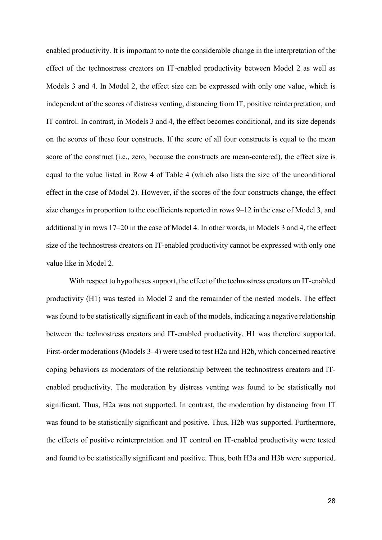enabled productivity. It is important to note the considerable change in the interpretation of the effect of the technostress creators on IT-enabled productivity between Model 2 as well as Models 3 and 4. In Model 2, the effect size can be expressed with only one value, which is independent of the scores of distress venting, distancing from IT, positive reinterpretation, and IT control. In contrast, in Models 3 and 4, the effect becomes conditional, and its size depends on the scores of these four constructs. If the score of all four constructs is equal to the mean score of the construct (i.e., zero, because the constructs are mean-centered), the effect size is equal to the value listed in Row 4 of Table 4 (which also lists the size of the unconditional effect in the case of Model 2). However, if the scores of the four constructs change, the effect size changes in proportion to the coefficients reported in rows 9–12 in the case of Model 3, and additionally in rows 17–20 in the case of Model 4. In other words, in Models 3 and 4, the effect size of the technostress creators on IT-enabled productivity cannot be expressed with only one value like in Model 2.

With respect to hypotheses support, the effect of the technostress creators on IT-enabled productivity (H1) was tested in Model 2 and the remainder of the nested models. The effect was found to be statistically significant in each of the models, indicating a negative relationship between the technostress creators and IT-enabled productivity. H1 was therefore supported. First-order moderations (Models 3–4) were used to test H2a and H2b, which concerned reactive coping behaviors as moderators of the relationship between the technostress creators and ITenabled productivity. The moderation by distress venting was found to be statistically not significant. Thus, H2a was not supported. In contrast, the moderation by distancing from IT was found to be statistically significant and positive. Thus, H2b was supported. Furthermore, the effects of positive reinterpretation and IT control on IT-enabled productivity were tested and found to be statistically significant and positive. Thus, both H3a and H3b were supported.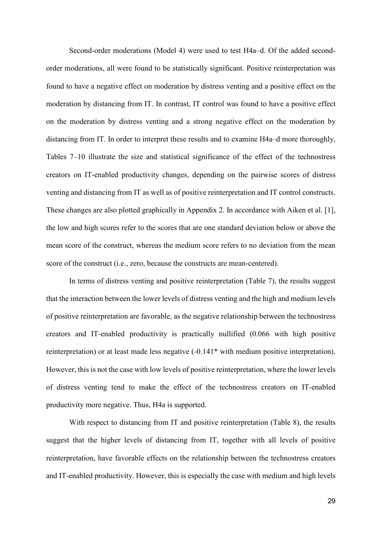Second-order moderations (Model 4) were used to test H4a–d. Of the added secondorder moderations, all were found to be statistically significant. Positive reinterpretation was found to have a negative effect on moderation by distress venting and a positive effect on the moderation by distancing from IT. In contrast, IT control was found to have a positive effect on the moderation by distress venting and a strong negative effect on the moderation by distancing from IT. In order to interpret these results and to examine H4a–d more thoroughly, Tables 7–10 illustrate the size and statistical significance of the effect of the technostress creators on IT-enabled productivity changes, depending on the pairwise scores of distress venting and distancing from IT as well as of positive reinterpretation and IT control constructs. These changes are also plotted graphically in Appendix 2. In accordance with Aiken et al. [\[1\]](#page-34-5), the low and high scores refer to the scores that are one standard deviation below or above the mean score of the construct, whereas the medium score refers to no deviation from the mean score of the construct (i.e., zero, because the constructs are mean-centered).

In terms of distress venting and positive reinterpretation (Table 7), the results suggest that the interaction between the lower levels of distress venting and the high and medium levels of positive reinterpretation are favorable, as the negative relationship between the technostress creators and IT-enabled productivity is practically nullified (0.066 with high positive reinterpretation) or at least made less negative  $(-0.141)$ <sup>\*</sup> with medium positive interpretation). However, this is not the case with low levels of positive reinterpretation, where the lower levels of distress venting tend to make the effect of the technostress creators on IT-enabled productivity more negative. Thus, H4a is supported.

With respect to distancing from IT and positive reinterpretation (Table 8), the results suggest that the higher levels of distancing from IT, together with all levels of positive reinterpretation, have favorable effects on the relationship between the technostress creators and IT-enabled productivity. However, this is especially the case with medium and high levels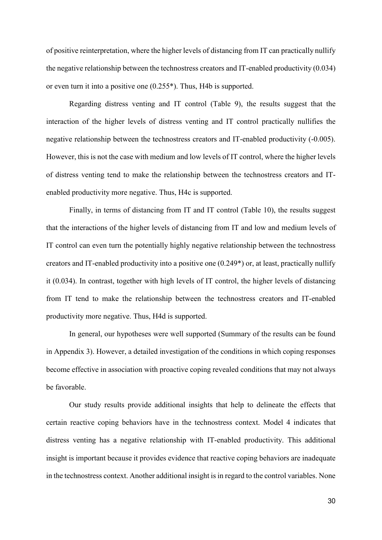of positive reinterpretation, where the higher levels of distancing from IT can practically nullify the negative relationship between the technostress creators and IT-enabled productivity (0.034) or even turn it into a positive one (0.255\*). Thus, H4b is supported.

Regarding distress venting and IT control (Table 9), the results suggest that the interaction of the higher levels of distress venting and IT control practically nullifies the negative relationship between the technostress creators and IT-enabled productivity (-0.005). However, this is not the case with medium and low levels of IT control, where the higher levels of distress venting tend to make the relationship between the technostress creators and ITenabled productivity more negative. Thus, H4c is supported.

Finally, in terms of distancing from IT and IT control (Table 10), the results suggest that the interactions of the higher levels of distancing from IT and low and medium levels of IT control can even turn the potentially highly negative relationship between the technostress creators and IT-enabled productivity into a positive one (0.249\*) or, at least, practically nullify it (0.034). In contrast, together with high levels of IT control, the higher levels of distancing from IT tend to make the relationship between the technostress creators and IT-enabled productivity more negative. Thus, H4d is supported.

In general, our hypotheses were well supported (Summary of the results can be found in Appendix 3). However, a detailed investigation of the conditions in which coping responses become effective in association with proactive coping revealed conditions that may not always be favorable.

Our study results provide additional insights that help to delineate the effects that certain reactive coping behaviors have in the technostress context. Model 4 indicates that distress venting has a negative relationship with IT-enabled productivity. This additional insight is important because it provides evidence that reactive coping behaviors are inadequate in the technostress context. Another additional insight is in regard to the control variables. None

30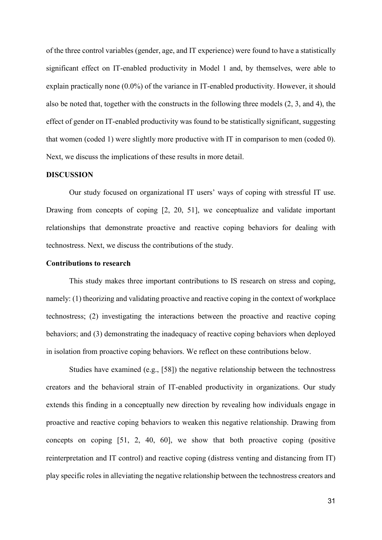of the three control variables (gender, age, and IT experience) were found to have a statistically significant effect on IT-enabled productivity in Model 1 and, by themselves, were able to explain practically none (0.0%) of the variance in IT-enabled productivity. However, it should also be noted that, together with the constructs in the following three models (2, 3, and 4), the effect of gender on IT-enabled productivity was found to be statistically significant, suggesting that women (coded 1) were slightly more productive with IT in comparison to men (coded 0). Next, we discuss the implications of these results in more detail.

#### **DISCUSSION**

Our study focused on organizational IT users' ways of coping with stressful IT use. Drawing from concepts of coping [\[2,](#page-34-1) [20,](#page-35-0) [51\]](#page-37-9), we conceptualize and validate important relationships that demonstrate proactive and reactive coping behaviors for dealing with technostress. Next, we discuss the contributions of the study.

## **Contributions to research**

This study makes three important contributions to IS research on stress and coping, namely: (1) theorizing and validating proactive and reactive coping in the context of workplace technostress; (2) investigating the interactions between the proactive and reactive coping behaviors; and (3) demonstrating the inadequacy of reactive coping behaviors when deployed in isolation from proactive coping behaviors. We reflect on these contributions below.

Studies have examined (e.g., [\[58\]](#page-37-4)) the negative relationship between the technostress creators and the behavioral strain of IT-enabled productivity in organizations. Our study extends this finding in a conceptually new direction by revealing how individuals engage in proactive and reactive coping behaviors to weaken this negative relationship. Drawing from concepts on coping [\[51,](#page-37-9) [2,](#page-34-1) [40,](#page-36-9) [60\]](#page-37-7), we show that both proactive coping (positive reinterpretation and IT control) and reactive coping (distress venting and distancing from IT) play specific roles in alleviating the negative relationship between the technostress creators and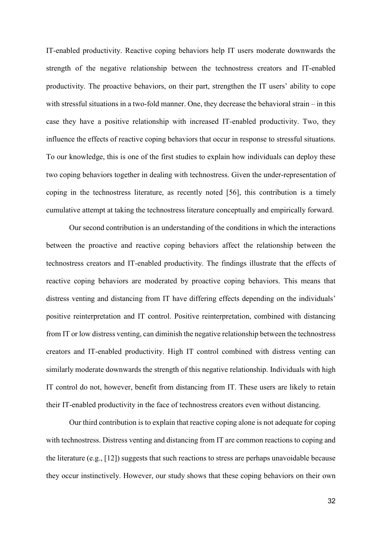IT-enabled productivity. Reactive coping behaviors help IT users moderate downwards the strength of the negative relationship between the technostress creators and IT-enabled productivity. The proactive behaviors, on their part, strengthen the IT users' ability to cope with stressful situations in a two-fold manner. One, they decrease the behavioral strain – in this case they have a positive relationship with increased IT-enabled productivity. Two, they influence the effects of reactive coping behaviors that occur in response to stressful situations. To our knowledge, this is one of the first studies to explain how individuals can deploy these two coping behaviors together in dealing with technostress. Given the under-representation of coping in the technostress literature, as recently noted [\[56\]](#page-37-3), this contribution is a timely cumulative attempt at taking the technostress literature conceptually and empirically forward.

Our second contribution is an understanding of the conditions in which the interactions between the proactive and reactive coping behaviors affect the relationship between the technostress creators and IT-enabled productivity. The findings illustrate that the effects of reactive coping behaviors are moderated by proactive coping behaviors. This means that distress venting and distancing from IT have differing effects depending on the individuals' positive reinterpretation and IT control. Positive reinterpretation, combined with distancing from IT or low distress venting, can diminish the negative relationship between the technostress creators and IT-enabled productivity. High IT control combined with distress venting can similarly moderate downwards the strength of this negative relationship. Individuals with high IT control do not, however, benefit from distancing from IT. These users are likely to retain their IT-enabled productivity in the face of technostress creators even without distancing.

Our third contribution is to explain that reactive coping alone is not adequate for coping with technostress. Distress venting and distancing from IT are common reactions to coping and the literature (e.g., [\[12\]](#page-35-1)) suggests that such reactions to stress are perhaps unavoidable because they occur instinctively. However, our study shows that these coping behaviors on their own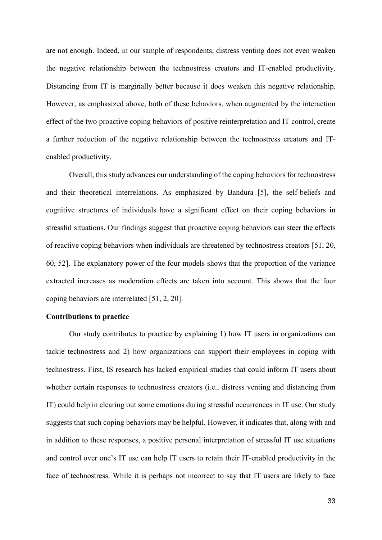are not enough. Indeed, in our sample of respondents, distress venting does not even weaken the negative relationship between the technostress creators and IT-enabled productivity. Distancing from IT is marginally better because it does weaken this negative relationship. However, as emphasized above, both of these behaviors, when augmented by the interaction effect of the two proactive coping behaviors of positive reinterpretation and IT control, create a further reduction of the negative relationship between the technostress creators and ITenabled productivity.

Overall, this study advances our understanding of the coping behaviors for technostress and their theoretical interrelations. As emphasized by Bandura [\[5\]](#page-34-4), the self-beliefs and cognitive structures of individuals have a significant effect on their coping behaviors in stressful situations. Our findings suggest that proactive coping behaviors can steer the effects of reactive coping behaviors when individuals are threatened by technostress creators [\[51,](#page-37-9) [20,](#page-35-0) [60,](#page-37-7) [52\]](#page-37-6). The explanatory power of the four models shows that the proportion of the variance extracted increases as moderation effects are taken into account. This shows that the four coping behaviors are interrelated [\[51,](#page-37-9) [2,](#page-34-1) [20\]](#page-35-0).

#### **Contributions to practice**

Our study contributes to practice by explaining 1) how IT users in organizations can tackle technostress and 2) how organizations can support their employees in coping with technostress. First, IS research has lacked empirical studies that could inform IT users about whether certain responses to technostress creators (i.e., distress venting and distancing from IT) could help in clearing out some emotions during stressful occurrences in IT use. Our study suggests that such coping behaviors may be helpful. However, it indicates that, along with and in addition to these responses, a positive personal interpretation of stressful IT use situations and control over one's IT use can help IT users to retain their IT-enabled productivity in the face of technostress. While it is perhaps not incorrect to say that IT users are likely to face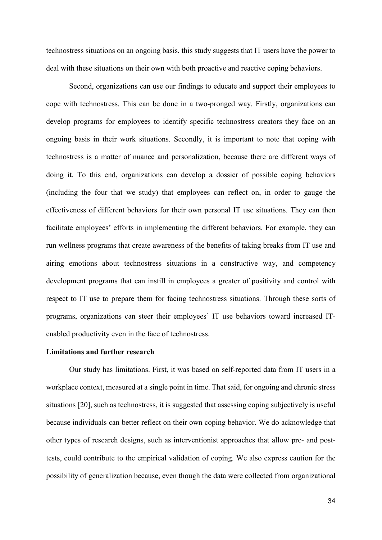technostress situations on an ongoing basis, this study suggests that IT users have the power to deal with these situations on their own with both proactive and reactive coping behaviors.

Second, organizations can use our findings to educate and support their employees to cope with technostress. This can be done in a two-pronged way. Firstly, organizations can develop programs for employees to identify specific technostress creators they face on an ongoing basis in their work situations. Secondly, it is important to note that coping with technostress is a matter of nuance and personalization, because there are different ways of doing it. To this end, organizations can develop a dossier of possible coping behaviors (including the four that we study) that employees can reflect on, in order to gauge the effectiveness of different behaviors for their own personal IT use situations. They can then facilitate employees' efforts in implementing the different behaviors. For example, they can run wellness programs that create awareness of the benefits of taking breaks from IT use and airing emotions about technostress situations in a constructive way, and competency development programs that can instill in employees a greater of positivity and control with respect to IT use to prepare them for facing technostress situations. Through these sorts of programs, organizations can steer their employees' IT use behaviors toward increased ITenabled productivity even in the face of technostress.

#### **Limitations and further research**

Our study has limitations. First, it was based on self-reported data from IT users in a workplace context, measured at a single point in time. That said, for ongoing and chronic stress situations [\[20\]](#page-35-0), such as technostress, it is suggested that assessing coping subjectively is useful because individuals can better reflect on their own coping behavior. We do acknowledge that other types of research designs, such as interventionist approaches that allow pre- and posttests, could contribute to the empirical validation of coping. We also express caution for the possibility of generalization because, even though the data were collected from organizational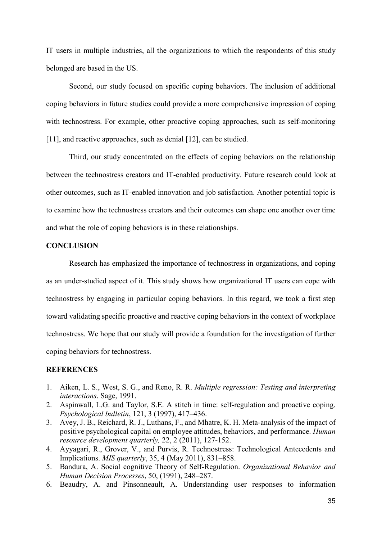IT users in multiple industries, all the organizations to which the respondents of this study belonged are based in the US.

Second, our study focused on specific coping behaviors. The inclusion of additional coping behaviors in future studies could provide a more comprehensive impression of coping with technostress. For example, other proactive coping approaches, such as self-monitoring [\[11\]](#page-35-8), and reactive approaches, such as denial [\[12\]](#page-35-1), can be studied.

Third, our study concentrated on the effects of coping behaviors on the relationship between the technostress creators and IT-enabled productivity. Future research could look at other outcomes, such as IT-enabled innovation and job satisfaction. Another potential topic is to examine how the technostress creators and their outcomes can shape one another over time and what the role of coping behaviors is in these relationships.

## **CONCLUSION**

Research has emphasized the importance of technostress in organizations, and coping as an under-studied aspect of it. This study shows how organizational IT users can cope with technostress by engaging in particular coping behaviors. In this regard, we took a first step toward validating specific proactive and reactive coping behaviors in the context of workplace technostress. We hope that our study will provide a foundation for the investigation of further coping behaviors for technostress.

## **REFERENCES**

- <span id="page-34-5"></span>1. Aiken, L. S., West, S. G., and Reno, R. R. *Multiple regression: Testing and interpreting interactions*. Sage, 1991.
- <span id="page-34-1"></span>2. Aspinwall, L.G. and Taylor, S.E. A stitch in time: self-regulation and proactive coping. *Psychological bulletin*, 121, 3 (1997), 417–436.
- <span id="page-34-3"></span>3. Avey, J. B., Reichard, R. J., Luthans, F., and Mhatre, K. H. Meta‐analysis of the impact of positive psychological capital on employee attitudes, behaviors, and performance. *Human resource development quarterly,* 22, 2 (2011), 127-152.
- <span id="page-34-0"></span>4. Ayyagari, R., Grover, V., and Purvis, R. Technostress: Technological Antecedents and Implications. *MIS quarterly*, 35, 4 (May 2011), 831–858.
- <span id="page-34-4"></span>5. Bandura, A. Social cognitive Theory of Self-Regulation. *Organizational Behavior and Human Decision Processes*, 50, (1991), 248–287.
- <span id="page-34-2"></span>6. Beaudry, A. and Pinsonneault, A. Understanding user responses to information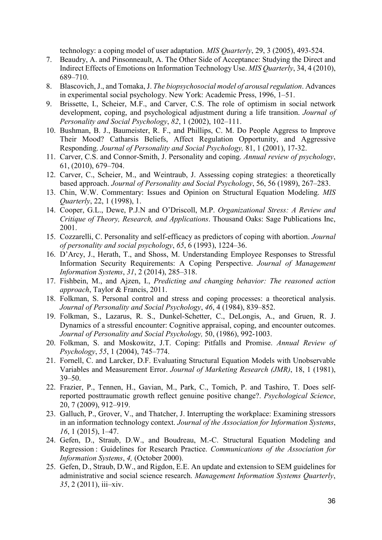technology: a coping model of user adaptation. *MIS Quarterly*, 29, 3 (2005), 493-524.

- <span id="page-35-4"></span>7. Beaudry, A. and Pinsonneault, A. The Other Side of Acceptance: Studying the Direct and Indirect Effects of Emotions on Information Technology Use. *MIS Quarterly*, 34, 4 (2010), 689–710.
- <span id="page-35-10"></span>8. Blascovich, J., and Tomaka, J. *The biopsychosocial model of arousal regulation*. Advances in experimental social psychology. New York: Academic Press, 1996, 1–51.
- <span id="page-35-11"></span>9. Brissette, I., Scheier, M.F., and Carver, C.S. The role of optimism in social network development, coping, and psychological adjustment during a life transition. *Journal of Personality and Social Psychology*, *82*, 1 (2002), 102–111.
- <span id="page-35-9"></span>10. Bushman, B. J., Baumeister, R. F., and Phillips, C. M. Do People Aggress to Improve Their Mood? Catharsis Beliefs, Affect Regulation Opportunity, and Aggressive Responding. *Journal of Personality and Social Psychology,* 81, 1 (2001), 17-32.
- <span id="page-35-8"></span>11. Carver, C.S. and Connor-Smith, J. Personality and coping. *Annual review of psychology*, 61, (2010), 679–704.
- <span id="page-35-1"></span>12. Carver, C., Scheier, M., and Weintraub, J. Assessing coping strategies: a theoretically based approach. *Journal of Personality and Social Psychology*, 56, 56 (1989), 267–283.
- <span id="page-35-17"></span>13. Chin, W.W. Commentary: Issues and Opinion on Structural Equation Modeling. *MIS Quarterly*, 22, 1 (1998), 1.
- <span id="page-35-2"></span>14. Cooper, G.L., Dewe, P.J.N and O'Driscoll, M.P. *Organizational Stress: A Review and Critique of Theory, Research, and Applications*. Thousand Oaks: Sage Publications Inc, 2001.
- <span id="page-35-6"></span>15. Cozzarelli, C. Personality and self-efficacy as predictors of coping with abortion. *Journal of personality and social psychology*, *65*, 6 (1993), 1224–36.
- <span id="page-35-5"></span>16. D'Arcy, J., Herath, T., and Shoss, M. Understanding Employee Responses to Stressful Information Security Requirements: A Coping Perspective. *Journal of Management Information Systems*, *31*, 2 (2014), 285–318.
- <span id="page-35-13"></span>17. Fishbein, M., and Ajzen, I., *Predicting and changing behavior: The reasoned action approach*, Taylor & Francis, 2011.
- <span id="page-35-3"></span>18. Folkman, S. Personal control and stress and coping processes: a theoretical analysis. *Journal of Personality and Social Psychology*, *46*, 4 (1984), 839–852.
- <span id="page-35-7"></span>19. Folkman, S., Lazarus, R. S., Dunkel-Schetter, C., DeLongis, A., and Gruen, R. J. Dynamics of a stressful encounter: Cognitive appraisal, coping, and encounter outcomes. *Journal of Personality and Social Psychology,* 50, (1986), 992-1003.
- <span id="page-35-0"></span>20. Folkman, S. and Moskowitz, J.T. Coping: Pitfalls and Promise. *Annual Review of Psychology*, *55*, 1 (2004), 745–774.
- <span id="page-35-16"></span>21. Fornell, C. and Larcker, D.F. Evaluating Structural Equation Models with Unobservable Variables and Measurement Error. *Journal of Marketing Research (JMR)*, 18, 1 (1981), 39–50.
- <span id="page-35-12"></span>22. Frazier, P., Tennen, H., Gavian, M., Park, C., Tomich, P. and Tashiro, T. Does selfreported posttraumatic growth reflect genuine positive change?. *Psychological Science*, 20, 7 (2009), 912–919.
- <span id="page-35-14"></span>23. Galluch, P., Grover, V., and Thatcher, J. Interrupting the workplace: Examining stressors in an information technology context. *Journal of the Association for Information Systems*, *16*, 1 (2015), 1–47.
- <span id="page-35-15"></span>24. Gefen, D., Straub, D.W., and Boudreau, M.-C. Structural Equation Modeling and Regression : Guidelines for Research Practice. *Communications of the Association for Information Systems*, *4,* (October 2000).
- <span id="page-35-18"></span>25. Gefen, D., Straub, D.W., and Rigdon, E.E. An update and extension to SEM guidelines for administrative and social science research. *Management Information Systems Quarterly*, *35*, 2 (2011), iii–xiv.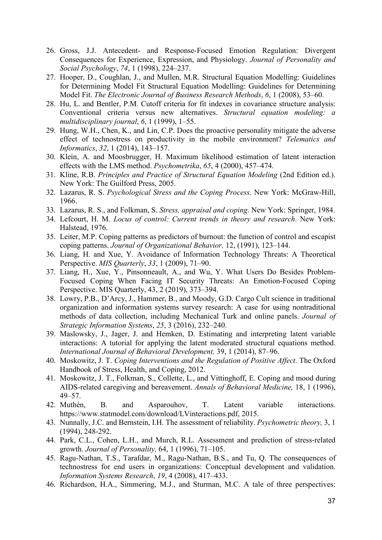- <span id="page-36-2"></span>26. Gross, J.J. Antecedent- and Response-Focused Emotion Regulation: Divergent Consequences for Experience, Expression, and Physiology. *Journal of Personality and Social Psychology*, *74*, 1 (1998), 224–237.
- <span id="page-36-18"></span>27. Hooper, D., Coughlan, J., and Mullen, M.R. Structural Equation Modelling: Guidelines for Determining Model Fit Structural Equation Modelling: Guidelines for Determining Model Fit. *The Electronic Journal of Business Research Methods*, *6*, 1 (2008), 53–60.
- <span id="page-36-17"></span>28. Hu, L. and Bentler, P.M. Cutoff criteria for fit indexes in covariance structure analysis: Conventional criteria versus new alternatives. *Structural equation modeling: a multidisciplinary journal*, *6*, 1 (1999), 1–55.
- <span id="page-36-6"></span>29. Hung, W.H., Chen, K., and Lin, C.P. Does the proactive personality mitigate the adverse effect of technostress on productivity in the mobile environment? *Telematics and Informatics*, *32*, 1 (2014), 143–157.
- <span id="page-36-13"></span>30. Klein, A. and Moosbrugger, H. Maximum likelihood estimation of latent interaction effects with the LMS method. *Psychometrika*, *65*, 4 (2000), 457–474.
- <span id="page-36-19"></span>31. Kline, R.B. *Principles and Practice of Structural Equation Modeling* (2nd Edition ed.). New York: The Guilford Press, 2005.
- <span id="page-36-3"></span>32. Lazarus, R. S. *Psychological Stress and the Coping Process.* New York: McGraw-Hill, 1966.
- <span id="page-36-1"></span>33. Lazarus, R. S., and Folkman, S. *Stress, appraisal and coping*. New York: Springer, 1984.
- <span id="page-36-10"></span>34. Lefcourt, H. M. *Locus of control: Current trends in theory and research*. New York: Halstead, 1976.
- <span id="page-36-12"></span>35. Leiter, M.P. Coping patterns as predictors of burnout: the function of control and escapist coping patterns. *Journal of Organizational Behavior,* 12, (1991), 123–144.
- <span id="page-36-4"></span>36. Liang, H. and Xue, Y. Avoidance of Information Technology Threats: A Theoretical Perspective. *MIS Quarterly*, *33*, 1 (2009), 71–90.
- <span id="page-36-5"></span>37. Liang, H., Xue, Y., Pinsonneault, A., and Wu, Y. What Users Do Besides Problem-Focused Coping When Facing IT Security Threats: An Emotion-Focused Coping Perspective. MIS Quarterly, 43, 2 (2019), 373–394.
- <span id="page-36-11"></span>38. Lowry, P.B., D'Arcy, J., Hammer, B., and Moody, G.D. Cargo Cult science in traditional organization and information systems survey research: A case for using nontraditional methods of data collection, including Mechanical Turk and online panels. *Journal of Strategic Information Systems*, *25*, 3 (2016), 232–240.
- <span id="page-36-15"></span>39. Maslowsky, J., Jager, J. and Hemken, D. Estimating and interpreting latent variable interactions: A tutorial for applying the latent moderated structural equations method. *International Journal of Behavioral Development,* 39, 1 (2014), 87–96.
- <span id="page-36-9"></span>40. Moskowitz, J. T. *Coping Interventions and the Regulation of Positive Affect*. The Oxford Handbook of Stress, Health, and Coping, 2012.
- <span id="page-36-8"></span>41. Moskowitz, J. T., Folkman, S., Collette, L., and Vittinghoff, E. Coping and mood during AIDS-related caregiving and bereavement. *Annals of Behavioral Medicine,* 18, 1 (1996), 49–57.
- <span id="page-36-16"></span>42. Muthén, B. and Asparouhov, T. Latent variable interactions. https://www.statmodel.com/download/LVinteractions.pdf, 2015.
- <span id="page-36-14"></span>43. Nunnally, J.C. and Bernstein, I.H. The assessment of reliability. *Psychometric theory,* 3, 1 (1994), 248-292.
- <span id="page-36-7"></span>44. Park, C.L., Cohen, L.H., and Murch, R.L. Assessment and prediction of stress-related growth. *Journal of Personality,* 64, 1 (1996), 71–105.
- <span id="page-36-0"></span>45. Ragu-Nathan, T.S., Tarafdar, M., Ragu-Nathan, B.S., and Tu, Q. The consequences of technostress for end users in organizations: Conceptual development and validation. *Information Systems Research*, *19*, 4 (2008), 417–433.
- 46. Richardson, H.A., Simmering, M.J., and Sturman, M.C. A tale of three perspectives: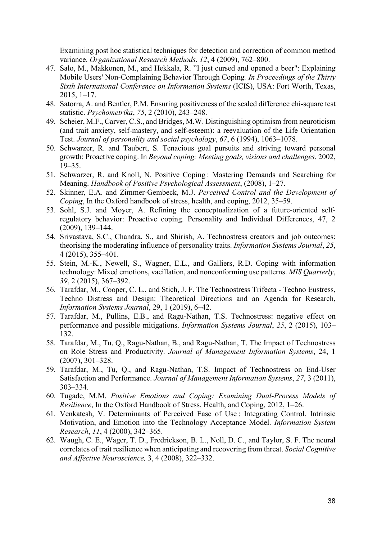Examining post hoc statistical techniques for detection and correction of common method variance. *Organizational Research Methods*, *12*, 4 (2009), 762–800.

- <span id="page-37-12"></span>47. Salo, M., Makkonen, M., and Hekkala, R. "I just cursed and opened a beer": Explaining Mobile Users' Non-Complaining Behavior Through Coping*. In Proceedings of the Thirty Sixth International Conference on Information Systems* (ICIS), USA: Fort Worth, Texas, 2015, 1–17.
- <span id="page-37-14"></span>48. Satorra, A. and Bentler, P.M. Ensuring positiveness of the scaled difference chi-square test statistic. *Psychometrika*, *75*, 2 (2010), 243–248.
- <span id="page-37-10"></span>49. Scheier, M.F., Carver, C.S., and Bridges, M.W. Distinguishing optimism from neuroticism (and trait anxiety, self-mastery, and self-esteem): a reevaluation of the Life Orientation Test. *Journal of personality and social psychology*, *67*, 6 (1994), 1063–1078.
- <span id="page-37-5"></span>50. Schwarzer, R. and Taubert, S. Tenacious goal pursuits and striving toward personal growth: Proactive coping. In *Beyond coping: Meeting goals, visions and challenges*. 2002, 19–35.
- <span id="page-37-9"></span>51. Schwarzer, R. and Knoll, N. Positive Coping : Mastering Demands and Searching for Meaning. *Handbook of Positive Psychological Assessment*, (2008), 1–27.
- <span id="page-37-6"></span>52. Skinner, E.A. and Zimmer-Gembeck, M.J. *Perceived Control and the Development of Coping*, In the Oxford handbook of stress, health, and coping, 2012, 35–59.
- 53. Sohl, S.J. and Moyer, A. Refining the conceptualization of a future-oriented selfregulatory behavior: Proactive coping. Personality and Individual Differences, 47, 2 (2009), 139–144.
- <span id="page-37-2"></span>54. Srivastava, S.C., Chandra, S., and Shirish, A. Technostress creators and job outcomes: theorising the moderating influence of personality traits. *Information Systems Journal*, *25*, 4 (2015), 355–401.
- <span id="page-37-8"></span>55. Stein, M.-K., Newell, S., Wagner, E.L., and Galliers, R.D. Coping with information technology: Mixed emotions, vacillation, and nonconforming use patterns. *MIS Quarterly*, *39*, 2 (2015), 367–392.
- <span id="page-37-3"></span>56. Tarafdar, M., Cooper, C. L., and Stich, J. F. The Technostress Trifecta - Techno Eustress, Techno Distress and Design: Theoretical Directions and an Agenda for Research, *Information Systems Journal*, 29, 1 (2019), 6–42.
- <span id="page-37-0"></span>57. Tarafdar, M., Pullins, E.B., and Ragu-Nathan, T.S. Technostress: negative effect on performance and possible mitigations. *Information Systems Journal*, *25*, 2 (2015), 103– 132.
- <span id="page-37-4"></span>58. Tarafdar, M., Tu, Q., Ragu-Nathan, B., and Ragu-Nathan, T. The Impact of Technostress on Role Stress and Productivity. *Journal of Management Information Systems*, 24, 1 (2007), 301–328.
- <span id="page-37-1"></span>59. Tarafdar, M., Tu, Q., and Ragu-Nathan, T.S. Impact of Technostress on End-User Satisfaction and Performance. *Journal of Management Information Systems*, *27*, 3 (2011), 303–334.
- <span id="page-37-7"></span>60. Tugade, M.M. *Positive Emotions and Coping: Examining Dual-Process Models of Resilience*, In the Oxford Handbook of Stress, Health, and Coping, 2012, 1–26.
- <span id="page-37-13"></span>61. Venkatesh, V. Determinants of Perceived Ease of Use : Integrating Control, Intrinsic Motivation, and Emotion into the Technology Acceptance Model. *Information System Research*, *11*, 4 (2000), 342–365.
- <span id="page-37-11"></span>62. Waugh, C. E., Wager, T. D., Fredrickson, B. L., Noll, D. C., and Taylor, S. F. The neural correlates of trait resilience when anticipating and recovering from threat. *Social Cognitive and Affective Neuroscience,* 3, 4 (2008), 322–332.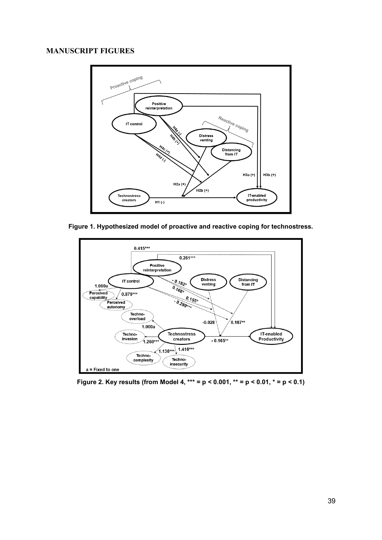# **MANUSCRIPT FIGURES**



**Figure 1. Hypothesized model of proactive and reactive coping for technostress.**



**Figure 2. Key results (from Model 4, \*\*\* = p < 0.001, \*\* = p < 0.01, \* = p < 0.1)**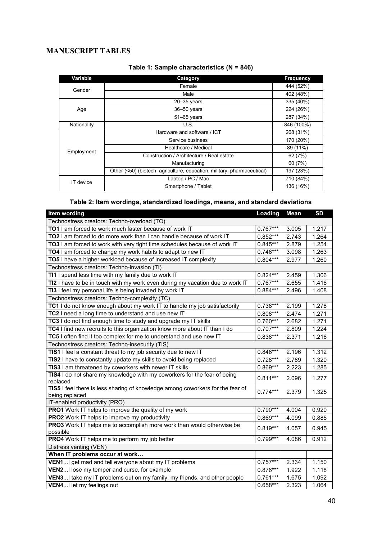# **MANUSCRIPT TABLES**

| Variable    | Category                                                                | <b>Frequency</b> |  |
|-------------|-------------------------------------------------------------------------|------------------|--|
| Gender      | Female                                                                  | 444 (52%)        |  |
|             | Male                                                                    | 402 (48%)        |  |
|             | $20 - 35$ years                                                         |                  |  |
| Age         | $36 - 50$ years                                                         | 224 (26%)        |  |
|             | 51-65 years                                                             | 287 (34%)        |  |
| Nationality | U.S.                                                                    | 846 (100%)       |  |
|             | Hardware and software / ICT                                             | 268 (31%)        |  |
|             | Service business                                                        | 170 (20%)        |  |
| Employment  | Healthcare / Medical                                                    | 89 (11%)         |  |
|             | Construction / Architecture / Real estate                               | 62 (7%)          |  |
|             | Manufacturing                                                           | 60 (7%)          |  |
|             | Other (<50) (biotech, agriculture, education, military, pharmaceutical) | 197 (23%)        |  |
| IT device   | Laptop / PC / Mac                                                       | 710 (84%)        |  |
|             | Smartphone / Tablet                                                     | 136 (16%)        |  |

## **Table 1: Sample characteristics (N = 846)**

# **Table 2: Item wordings, standardized loadings, means, and standard deviations**

| Item wording                                                                                     | Loading    | Mean  | <b>SD</b> |
|--------------------------------------------------------------------------------------------------|------------|-------|-----------|
| Technostress creators: Techno-overload (TO)                                                      |            |       |           |
| TO1 I am forced to work much faster because of work IT                                           | $0.767***$ | 3.005 | 1.217     |
| TO2 I am forced to do more work than I can handle because of work IT                             | $0.852***$ | 2.743 | 1.264     |
| TO3 I am forced to work with very tight time schedules because of work IT                        | $0.845***$ | 2.879 | 1.254     |
| TO4 I am forced to change my work habits to adapt to new IT                                      | $0.746***$ | 3.098 | 1.263     |
| TO5 I have a higher workload because of increased IT complexity                                  | $0.804***$ | 2.977 | 1.260     |
| Technostress creators: Techno-invasion (TI)                                                      |            |       |           |
| TI1 I spend less time with my family due to work IT                                              | $0.824***$ | 2.459 | 1.306     |
| TI2 I have to be in touch with my work even during my vacation due to work IT                    | $0.767***$ | 2.655 | 1.416     |
| TI3 I feel my personal life is being invaded by work IT                                          | $0.884***$ | 2.496 | 1.408     |
| Technostress creators: Techno-complexity (TC)                                                    |            |       |           |
| TC1 I do not know enough about my work IT to handle my job satisfactorily                        | $0.738***$ | 2.199 | 1.278     |
| TC2 I need a long time to understand and use new IT                                              | $0.808***$ | 2.474 | 1.271     |
| TC3 I do not find enough time to study and upgrade my IT skills                                  | $0.760***$ | 2.682 | 1.271     |
| TC4 I find new recruits to this organization know more about IT than I do                        | $0.707***$ | 2.809 | 1.224     |
| TC5 I often find it too complex for me to understand and use new IT                              | $0.838***$ | 2.371 | 1.216     |
| Technostress creators: Techno-insecurity (TIS)                                                   |            |       |           |
| TIS1 I feel a constant threat to my job security due to new IT                                   | $0.846***$ | 2.196 | 1.312     |
| TIS2 I have to constantly update my skills to avoid being replaced                               | $0.728***$ | 2.789 | 1.320     |
| TIS3 I am threatened by coworkers with newer IT skills                                           | $0.869***$ | 2.223 | 1.285     |
| TIS4 I do not share my knowledge with my coworkers for the fear of being<br>replaced             | $0.811***$ | 2.096 | 1.277     |
| TIS5 I feel there is less sharing of knowledge among coworkers for the fear of<br>being replaced | $0.774***$ | 2.379 | 1.325     |
| IT-enabled productivity (PRO)                                                                    |            |       |           |
| PRO1 Work IT helps to improve the quality of my work                                             | $0.790***$ | 4.004 | 0.920     |
| <b>PRO2</b> Work IT helps to improve my productivity                                             | $0.869***$ | 4.099 | 0.885     |
| PRO3 Work IT helps me to accomplish more work than would otherwise be<br>possible                | $0.819***$ | 4.057 | 0.945     |
| PRO4 Work IT helps me to perform my job better                                                   | $0.799***$ | 4.086 | 0.912     |
| Distress venting (VEN)                                                                           |            |       |           |
| When IT problems occur at work                                                                   |            |       |           |
| VEN1 I get mad and tell everyone about my IT problems                                            | $0.757***$ | 2.334 | 1.150     |
| VEN2I lose my temper and curse, for example                                                      | 0.876***   | 1.922 | 1.118     |
| VEN3I take my IT problems out on my family, my friends, and other people                         | $0.761***$ | 1.675 | 1.092     |
| VEN4I let my feelings out                                                                        | $0.658***$ | 2.323 | 1.064     |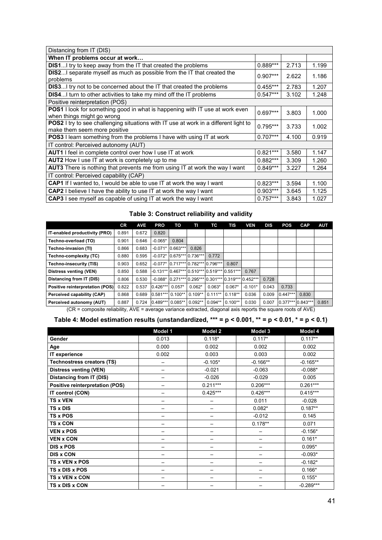| Distancing from IT (DIS)                                                                                             |            |       |       |
|----------------------------------------------------------------------------------------------------------------------|------------|-------|-------|
| When IT problems occur at work                                                                                       |            |       |       |
| <b>DIS1</b> I try to keep away from the IT that created the problems                                                 | $0.889***$ | 2.713 | 1.199 |
| DIS2I separate myself as much as possible from the IT that created the<br>problems                                   | $0.907***$ | 2.622 | 1.186 |
| <b>DIS3</b> I try not to be concerned about the IT that created the problems                                         | $0.455***$ | 2.783 | 1.207 |
| <b>DIS4</b> I turn to other activities to take my mind off the IT problems                                           | $0.547***$ | 3.102 | 1.248 |
| Positive reinterpretation (POS)                                                                                      |            |       |       |
| POS1 I look for something good in what is happening with IT use at work even<br>when things might go wrong           | $0.697***$ | 3.803 | 1.000 |
| POS2 I try to see challenging situations with IT use at work in a different light to<br>make them seem more positive | $0.795***$ | 3.733 | 1.002 |
| <b>POS3</b> I learn something from the problems I have with using IT at work                                         | $0.707***$ | 4.100 | 0.919 |
| IT control: Perceived autonomy (AUT)                                                                                 |            |       |       |
| <b>AUT1</b> I feel in complete control over how I use IT at work                                                     | $0.821***$ | 3.580 | 1.147 |
| <b>AUT2</b> How I use IT at work is completely up to me                                                              | $0.882***$ | 3.309 | 1.260 |
| AUT3 There is nothing that prevents me from using IT at work the way I want                                          | $0.849***$ | 3.227 | 1.264 |
| IT control: Perceived capability (CAP)                                                                               |            |       |       |
| CAP1 If I wanted to, I would be able to use IT at work the way I want                                                | $0.823***$ | 3.594 | 1.100 |
| CAP2 I believe I have the ability to use IT at work the way I want                                                   | $0.903***$ | 3.645 | 1.125 |
| CAP3 I see myself as capable of using IT at work the way I want                                                      | $0.757***$ | 3.843 | 1.027 |

# **Table 3: Construct reliability and validity**

|                                                      | <b>CR</b> | <b>AVE</b> | <b>PRO</b> | ΤО                                                     | TI        | тс        | TIS       | VEN       | DIS   | <b>POS</b>        | <b>CAP</b> | <b>AUT</b> |
|------------------------------------------------------|-----------|------------|------------|--------------------------------------------------------|-----------|-----------|-----------|-----------|-------|-------------------|------------|------------|
| IT-enabled productivity (PRO)                        | 0.891     | 0.672      | 0.820      |                                                        |           |           |           |           |       |                   |            |            |
| Techno-overload (TO)                                 | 0.901     | 0.646      | $-0.065*$  | 0.804                                                  |           |           |           |           |       |                   |            |            |
| <b>Techno-invasion (TI)</b>                          | 0.866     | 0.683      |            | $-0.071*10.663***$                                     | 0.826     |           |           |           |       |                   |            |            |
| Techno-complexity (TC)                               | 0.880     | 0.595      |            | $-0.072*10.675***10.736***$                            |           | 0.772     |           |           |       |                   |            |            |
| Techno-insecurity (TIS)                              | 0.903     | 0.652      |            | $-0.077* 0.717*** 0.782*** 0.796***$                   |           |           | 0.807     |           |       |                   |            |            |
| <b>Distress venting (VEN)</b>                        | 0.850     | 0.588      |            | $-0.131***$ 0.467*** 0.510*** 0.519*** 0.551***        |           |           |           | 0.767     |       |                   |            |            |
| Distancing from IT (DIS)                             | 0.806     | 0.530      |            | -0.088* $0.271***10.295***10.301***10.319***10.452***$ |           |           |           |           | 0.728 |                   |            |            |
| Positive reinterpretation (POS)                      | 0.822     | 0.537      | $0.426***$ | $0.057*$                                               | $0.062*$  | $0.063*$  | $0.067*$  | $-0.101*$ | 0.043 | 0.733             |            |            |
| Perceived capability (CAP)                           | 0.868     | 0.689      | $0.581***$ | $0.100**$                                              | $0.109**$ | $0.111**$ | $0.118**$ | 0.036     | 0.009 | $0.447***$        | 0.830      |            |
| Perceived autonomy (AUT)<br>$\overline{\phantom{a}}$ | 0.887     | 0.724      | $0.489***$ | $0.085**$                                              | $0.092**$ | $0.094**$ | $0.100**$ | 0.030     | 0.007 | 0.377*** 0.843*** |            | 0.851      |

(CR = composite reliability, AVE = average variance extracted, diagonal axis reports the square roots of AVE)

| Table 4: Model estimation results (unstandardized, *** = p < 0.001, ** = p < 0.01, * = p < 0.1) |  |  |  |  |
|-------------------------------------------------------------------------------------------------|--|--|--|--|
|-------------------------------------------------------------------------------------------------|--|--|--|--|

|                                        | Model 1                  | <b>Model 2</b> | Model 3    | Model 4     |
|----------------------------------------|--------------------------|----------------|------------|-------------|
| Gender                                 | 0.013                    | $0.118*$       | $0.117*$   | $0.117**$   |
| Age                                    | 0.000                    | 0.002          | 0.002      | 0.002       |
| IT experience                          | 0.002                    | 0.003          | 0.003      | 0.002       |
| <b>Technostress creators (TS)</b>      | $\overline{\phantom{0}}$ | $-0.105*$      | $-0.166**$ | $-0.165**$  |
| <b>Distress venting (VEN)</b>          | —                        | $-0.021$       | $-0.063$   | $-0.088*$   |
| <b>Distancing from IT (DIS)</b>        |                          | $-0.026$       | $-0.029$   | 0.005       |
| <b>Positive reinterpretation (POS)</b> |                          | $0.211***$     | $0.206***$ | $0.261***$  |
| IT control (CON)                       | —                        | $0.425***$     | $0.426***$ | $0.415***$  |
| <b>TS x VEN</b>                        | $\qquad \qquad$          | —              | 0.011      | $-0.028$    |
| <b>TS x DIS</b>                        | —                        | —              | $0.082*$   | $0.187**$   |
| TS x POS                               | —                        |                | $-0.012$   | 0.145       |
| <b>TS x CON</b>                        |                          |                | $0.178**$  | 0.071       |
| <b>VEN x POS</b>                       | $\overline{\phantom{0}}$ | —              |            | $-0.156*$   |
| <b>VEN x CON</b>                       | —                        | —              | —          | $0.161*$    |
| <b>DIS x POS</b>                       |                          |                |            | $0.095*$    |
| <b>DIS x CON</b>                       |                          |                |            | $-0.093*$   |
| TS x VEN x POS                         |                          |                |            | $-0.182*$   |
| TS x DIS x POS                         |                          | —              | —          | $0.166*$    |
| TS x VEN x CON                         |                          |                |            | $0.155*$    |
| TS x DIS x CON                         |                          |                |            | $-0.289***$ |